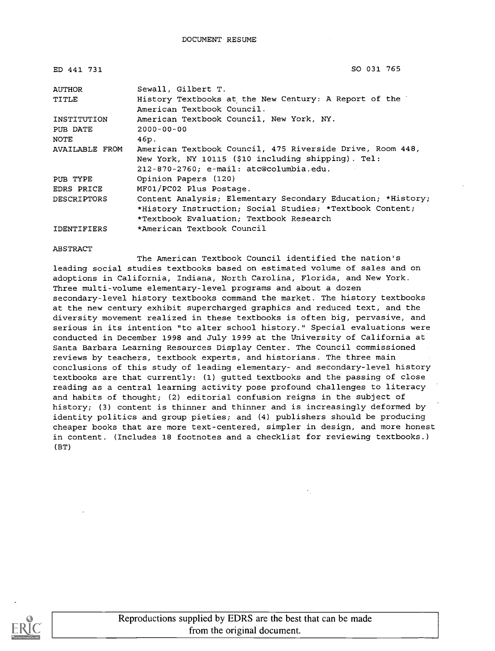| ED 441 731     | SO 031 765                                                  |
|----------------|-------------------------------------------------------------|
| AUTHOR         | Sewall, Gilbert T.                                          |
| TITLE          | History Textbooks at the New Century: A Report of the       |
|                | American Textbook Council.                                  |
| INSTITUTION    | American Textbook Council, New York, NY.                    |
| PUB DATE       | $2000 - 00 - 00$                                            |
| NOTE           | 46p.                                                        |
| AVAILABLE FROM | American Textbook Council, 475 Riverside Drive, Room 448,   |
|                | New York, NY 10115 (\$10 including shipping). Tel:          |
|                | $212 - 870 - 2760$ ; e-mail: atc@columbia.edu.              |
| PUB TYPE       | Opinion Papers (120)                                        |
| EDRS PRICE     | MF01/PC02 Plus Postage.                                     |
| DESCRIPTORS    | Content Analysis; Elementary Secondary Education; *History; |
|                | *History Instruction; Social Studies; *Textbook Content;    |
|                | *Textbook Evaluation; Textbook Research                     |
| IDENTIFIERS    | *American Textbook Council                                  |

#### ABSTRACT

The American Textbook Council identified the nation's leading social studies textbooks based on estimated volume of sales and on adoptions in California, Indiana, North Carolina, Florida, and New York. Three multi-volume elementary-level programs and about a dozen secondary-level history textbooks command the market. The history textbooks at the new century exhibit supercharged graphics and reduced text, and the diversity movement realized in these textbooks is often big, pervasive, and serious in its intention "to alter school history." Special evaluations were conducted in December 1998 and July 1999 at the University of California at Santa Barbara Learning Resources Display Center. The Council commissioned reviews by teachers, textbook experts, and historians. The three main conclusions of this study of leading elementary- and secondary-level history textbooks are that currently: (1) gutted textbooks and the passing of close reading as a central learning activity pose profound challenges to literacy and habits of thought; (2) editorial confusion reigns in the subject of history; (3) content is thinner and thinner and is increasingly deformed by identity politics and group pieties; and (4) publishers should be producing cheaper books that are more text-centered, simpler in design, and more honest in content. (Includes 18 footnotes and a checklist for reviewing textbooks.) (BT)



Reproductions supplied by EDRS are the best that can be made from the original document.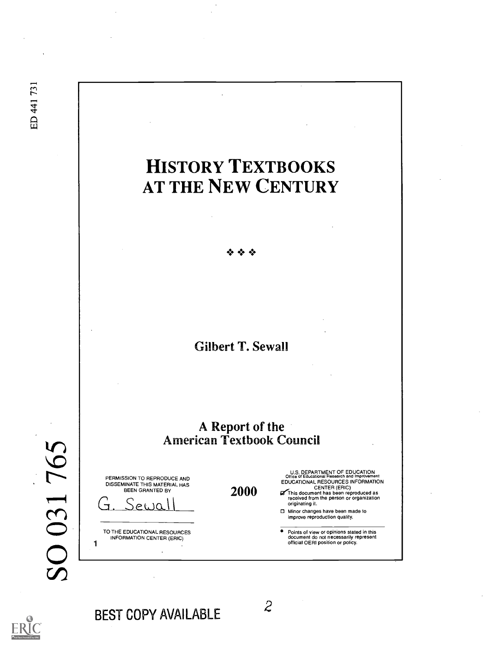ED 441731

# HISTORY TEXTBOOKS AT THE NEW CENTURY

# Gilbert T. Sewall

## A Report of the American Textbook Council

SO 031765

1

| PERMISSION TO REPRODUCE AND<br>DISSEMINATE THIS MATERIAL HAS<br><b>BEEN GRANTED BY</b> |  |
|----------------------------------------------------------------------------------------|--|
| RECO                                                                                   |  |

TO THE EDUCATIONAL RESOURCES INFORMATION CENTER (ERIC)

U.S. DEPARTMENT OF EDUCATION Office of Educational Research and Improvement EDUCATIONAL RESOURCES INFORMATION

- $2000$   $\sigma$  This document has been reproduced as  $\sigma$  This document has been reproduced as received from the person or organization originating it.
	- Minor changes have been made to improve reproduction quality.
	- $\bullet$ Points of view or opinions stated in this document do not necessarily represent official OERI position or policy.

BEST COPY AVAILABLE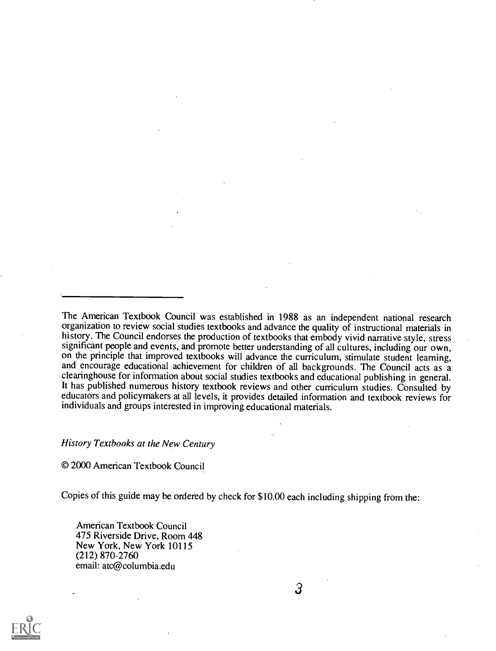The American Textbook Council was established in 1988 as an independent national research organization to review social studies textbooks and advance the quality of instructional materials in history. The Council endorses the production of textbooks that embody vivid narrative style, stress significant people and events, and promote better understanding of all cultures, including our own, on the principle that improved textbooks will advance the curriculum, stimulate student learning, and encourage educational achievement for children of all backgrounds. The Council acts as a clearinghouse for information about social studies textbooks and educational publishing in general. It has published numerous history textbook reviews and other curriculum studies. Consulted by educators and policymakers at all levels, it provides detailed information and textbook reviews for individuals and groups interested in improving educational materials.

History Textbooks at the New Century

© 2000 American Textbook Council

Copies of this guide may be ordered by check for \$10.00 each including shipping from the:

American Textbook Council 475 Riverside Drive, Room 448 New York, New York 10115 (212) 870-2760 email: atc@columbia.edu

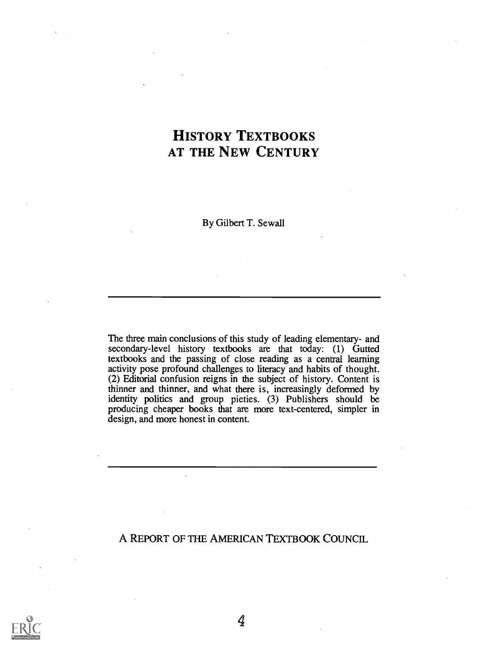## HISTORY TEXTBOOKS AT THE NEW CENTURY

By Gilbert T. Sewall

The three main conclusions of this study of leading elementary- and secondary-level history textbooks are that today: (1) Gutted textbooks and the passing of close reading as a central learning activity pose profound challenges to literacy and habits of thought. (2) Editorial confusion reigns in the subject of history. Content is thinner and thinner, and what there is, increasingly deformed by identity politics and group pieties. (3) Publishers should be producing cheaper books that are more text-centered, simpler in design, and more honest in content.

A REPORT OF THE AMERICAN TEXTBOOK COUNCIL

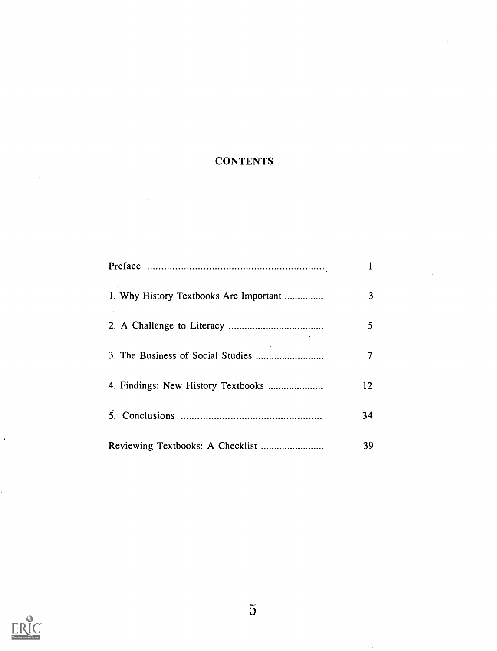## **CONTENTS**

 $\epsilon$ 

| 1. Why History Textbooks Are Important | 3  |  |
|----------------------------------------|----|--|
|                                        | 5  |  |
|                                        | 7  |  |
|                                        | 12 |  |
|                                        | 34 |  |
|                                        | 39 |  |

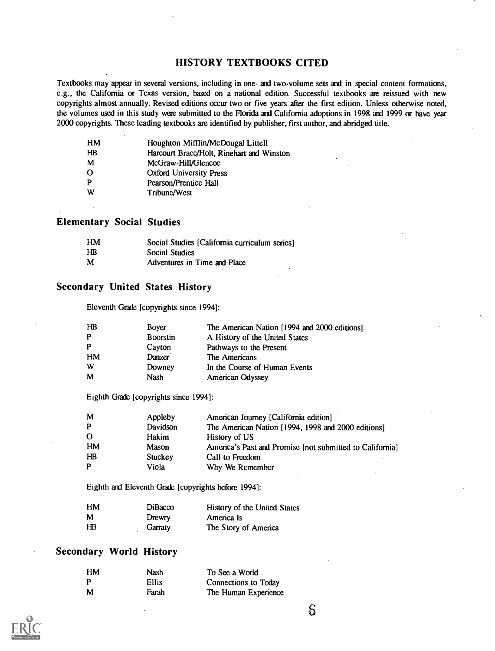#### HISTORY TEXTBOOKS CITED

Textbooks may appear in several versions, including in one- and two-volume sets and in special content formations, e.g., the California or Texas version, based on a national edition. Successful textbooks are reissued with new copyrights almost annually. Revised editions occur two or five years after the first edition. Unless otherwise noted, the volumes used in this study were submitted to the Florida and California adoptions in 1998 and 1999 or have year 2000 copyrights. These leading textbooks are identified by publisher, first author, and abridged title.

| HM       | Houghton Mifflin/McDougal Littell         |
|----------|-------------------------------------------|
| HВ       | Harcourt Brace/Holt, Rinehart and Winston |
| M        | McGraw-Hill/Glencoe                       |
| $\Omega$ | Oxford University Press                   |
| P        | Pearson/Prentice Hall                     |
| W        | Tribune/West                              |

#### Elementary Social Studies

| HМ | Social Studies [California curriculum series] |
|----|-----------------------------------------------|
| HB | Social Studies                                |
| M  | Adventures in Time and Place                  |

#### Secondary United States History

Eleventh Grade [copyrights since 1994]:

| $H\!B$ | Boyer           | The American Nation [1994 and 2000 editions] |
|--------|-----------------|----------------------------------------------|
| P      | <b>Boorstin</b> | A History of the United States               |
| P      | Cayton          | Pathways to the Present                      |
| HM     | Danzer          | The Americans                                |
| W      | Downey          | In the Course of Human Events                |
| M      | Nash            | American Odyssey                             |

Eighth Grade [copyrights since 1994]:

| M        | Appleby  | American Journey [California edition]                    |
|----------|----------|----------------------------------------------------------|
| P        | Davidson | The American Nation [1994, 1998 and 2000 editions]       |
| $\Omega$ | Hakim    | History of US                                            |
| HM       | Mason    | America's Past and Promise [not submitted to California] |
| $H\!B$   | Stuckey  | Call to Freedom                                          |
| P        | Viola    | Why We Remember                                          |

Eighth and Eleventh Grade [copyrights before 1994]:

| HМ | <b>DiBacco</b> | History of the United States |
|----|----------------|------------------------------|
| M  | Drewry         | America Is                   |
| НB | Garraty        | The Story of America         |

### Secondary World History

| HM | Nash         | To See a World       |
|----|--------------|----------------------|
| P  | <b>Ellis</b> | Connections to Today |
| M  | Farah        | The Human Experience |

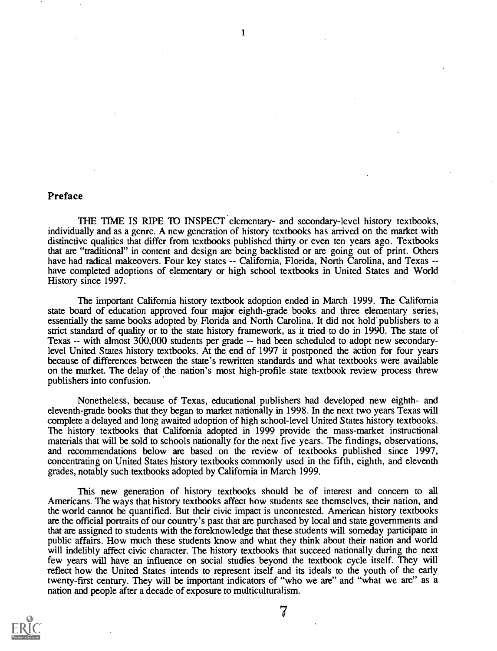#### Preface

THE TIME IS RIPE TO INSPECT elementary- and secondary-level history textbooks, individually and as a genre. A new generation of history textbooks has arrived on the market with distinctive qualities that differ from textbooks published thirty or even ten years ago. Textbooks that are "traditional" in content and design are being backlisted or are going out of print. Others have had radical makeovers. Four key states -- California, Florida, North Carolina, and Texas -have completed adoptions of elementary or high school textbooks in United States and World History since 1997.

1

The important California history textbook adoption ended in March 1999. The California state board of education approved four major eighth-grade books and three elementary series, essentially the same books adopted by Florida and North Carolina. It did not hold publishers to a strict standard of quality or to the state history framework, as it tried to do in 1990. The state of Texas  $-$  with almost 300,000 students per grade  $-$  had been scheduled to adopt new secondarylevel United States history textbooks. At the end of 1997 it postponed the action for four years because of differences between the state's rewritten standards and what textbooks were available on the market. The delay of the nation's most high-profile state textbook review process threw publishers into confusion.

Nonetheless, because of Texas, educational publishers had developed new eighth- and eleventh-grade books that they began to market nationally in 1998. In the next two years Texas will complete a delayed and long awaited adoption of high school-level United States history textbooks. The history textbooks that California adopted in 1999 provide the mass-market instructional materials that will be sold to schools nationally for the next five years. The findings, observations, and recommendations below are based on the review of textbooks published since 1997, concentrating on United States history textbooks commonly used in the fifth, eighth, and eleventh grades, notably such textbooks adopted by California in March 1999.

This new generation of history textbooks should be of interest and concern to all Americans. The ways that history textbooks affect how students see themselves, their nation, and the world cannot be quantified. But their civic impact is uncontested. American history textbooks are the official portraits of our country's past that are purchased by local and state governments and that are assigned to students with the foreknowledge that these students will someday participate in public affairs. How much these students know and what they think about their nation and world will indelibly affect civic character. The history textbooks that succeed nationally during the next few years will have an influence on social studies beyond the textbook cycle itself. They will reflect how the United States intends to represent itself and its ideals to the youth of the early twenty-first century. They will be important indicators of "who we are" and "what we are" as a nation and people after a decade of exposure to multiculturalism.

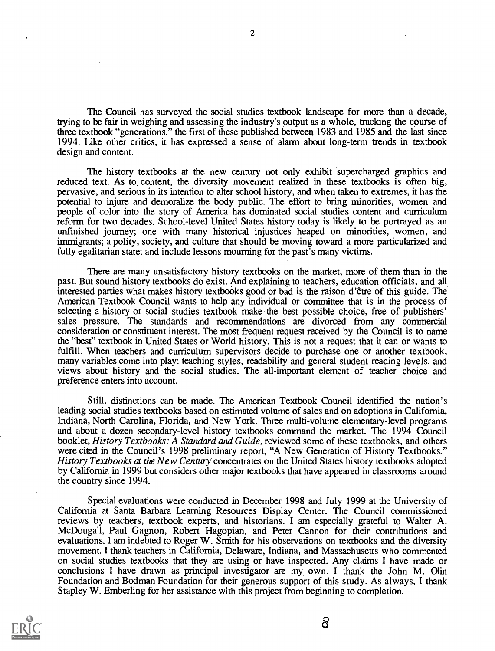The Council has surveyed the social studies textbook landscape for more than a decade, trying to be fair in weighing and assessing the industry's output as a whole, tracking the course of three textbook "generations," the first of these published between 1983 and 1985 and the last since 1994. Like other critics, it has expressed a sense of alarm about long-term trends in textbook design and content.

The history textbooks at the new century not only exhibit supercharged graphics and reduced text. As to content, the diversity movement realized in these textbooks is often big, pervasive, and serious in its intention to alter school history, and when taken to extremes, it has the potential to injure and demoralize the body public. The effort to bring minorities, women and people of color into the story of America has dominated social studies content and curriculum reform for two decades. School-level United States history today is likely to be portrayed as an unfinished journey; one with many historical injustices heaped on minorities, women, and immigrants; a polity, society, and culture that should be moving toward a more particularized and fully egalitarian state; and include lessons mourning for the past's many victims.

There are many unsatisfactory history textbooks on the market, more of them than in the past. But sound history textbooks do exist. And explaining to teachers, education officials, and all interested parties what makes history textbooks good or bad is the raison d'être of this guide. The American Textbook Council wants to help any individual or committee that is in the process of selecting a history or social studies textbook make the best possible choice, free of publishers' sales pressure. The standards and recommendations are divorced from any commercial consideration or constituent interest. The most frequent request received by the Council is to name the "best" textbook in United States or World history. This is not a request that it can or wants to fulfill. When teachers and curriculum supervisors decide to purchase one or another textbook, many variables come into play: teaching styles, readability and general student reading levels, and views about history and the social studies. The all-important element of teacher choice and preference enters into account.

Still, distinctions can be made. The American Textbook Council identified the nation's leading social studies textbooks based on estimated volume of sales and on adoptions in California, Indiana, North Carolina, Florida, and New York. Three multi-volume elementary-level programs and about a dozen secondary-level history textbooks command the market. The 1994 Council booklet, History Textbooks: A Standard and Guide, reviewed some of these textbooks, and others were cited in the Council's 1998 preliminary report, "A New Generation of History Textbooks." History Textbooks at the New Century concentrates on the United States history textbooks adopted by California in 1999 but considers other major textbooks that have appeared in classrooms around the country since 1994.

Special evaluations were conducted in December 1998 and July 1999 at the University of California at Santa Barbara Learning Resources Display Center. The Council commissioned reviews by teachers, textbook experts, and historians. I am especially grateful to Walter A. McDougall, Paul Gagnon, Robert Hagopian, and Peter Cannon for their contributions and evaluations. I am indebted to Roger W. Smith for his observations on textbooks and the diversity movement. I thank teachers in California, Delaware, Indiana, and Massachusetts who commented on social studies textbooks that they are using or have inspected. Any claims I have made or conclusions I have drawn as principal investigator are my own. I thank the John M. Olin Foundation and Bodman Foundation for their generous support of this study. As always, I thank Stapley W. Emberling for her assistance with this project from beginning to completion.



2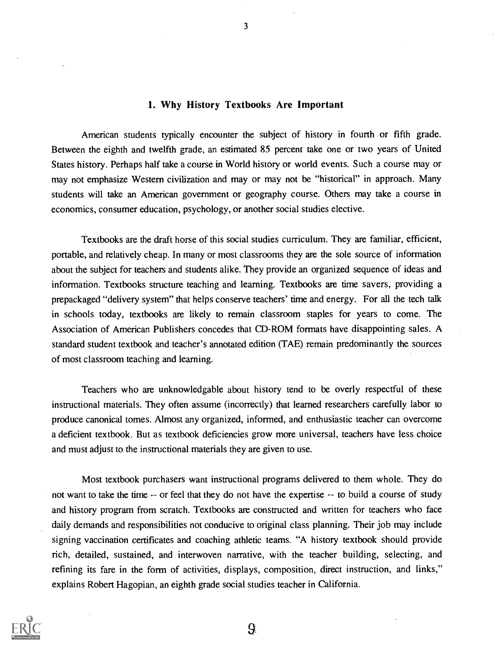#### 1. Why History Textbooks Are Important

American students typically encounter the subject of history in fourth or fifth grade. Between the eighth and twelfth grade, an estimated 85 percent take one or two years of United States history. Perhaps half take a course in World history or world events. Such a course may or may not emphasize Western civilization and may or may not be "historical" in approach. Many students will take an American government or geography course. Others may take a course in economics, consumer education, psychology, or another social studies elective.

Textbooks are the draft horse of this social studies curriculum. They are familiar, efficient, portable, and relatively cheap. In many or most classrooms they are the sole source of information about the subject for teachers and students alike. They provide an organized sequence of ideas and information. Textbooks structure teaching and learning. Textbooks are time savers, providing a prepackaged "delivery system" that helps conserve teachers' time and energy. For all the tech talk in schools today, textbooks are likely to remain classroom staples for years to come. The Association of American Publishers concedes that CD-ROM formats have disappointing sales. A standard student textbook and teacher's annotated edition (TAE) remain predominantly the sources of most classroom teaching and learning.

Teachers who are unknowledgable about history tend to be overly respectful of these instructional materials. They often assume (incorrectly) that learned researchers carefully labor to produce canonical tomes. Almost any organized, informed, and enthusiastic teacher can overcome a deficient textbook. But as textbook deficiencies grow more universal, teachers have less choice and must adjust to the instructional materials they are given to use.

Most textbook purchasers want instructional programs delivered to them whole. They do not want to take the time -- or feel that they do not have the expertise -- to build a course of study and history program from scratch. Textbooks are constructed and written for teachers who face daily demands and responsibilities not conducive to original class planning. Their job may include signing vaccination certificates and coaching athletic teams. "A history textbook should provide rich, detailed, sustained, and interwoven narrative, with the teacher building, selecting, and refining its fare in the form of activities, displays, composition, direct instruction, and links," explains Robert Hagopian, an eighth grade social studies teacher in California.



3

9.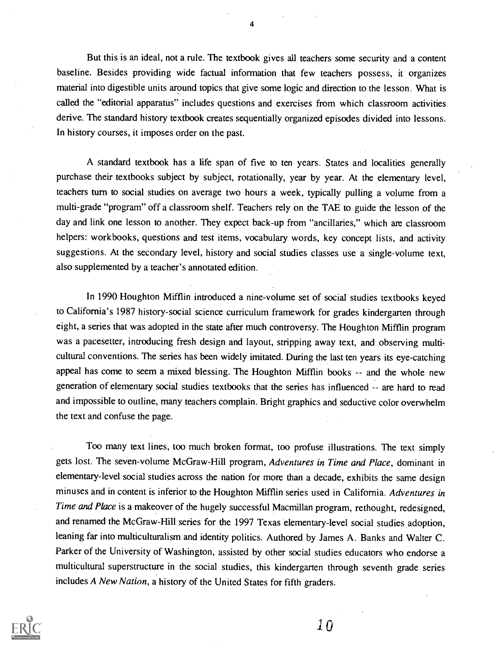But this is an ideal, not a rule. The textbook gives all teachers some security and a content baseline. Besides providing wide factual information that few teachers possess, it organizes material into digestible units around topics that give some logic and direction to the lesson. What is called the "editorial apparatus" includes questions and exercises from which classroom activities derive. The standard history textbook creates sequentially organized episodes divided into lessons. In history courses, it imposes order on the past.

A standard textbook has a life span of five to ten years. States and localities generally purchase their textbooks subject by subject, rotationally, year by year. At the elementary level, teachers turn to social studies on average two hours a week, typically pulling a volume from a multi-grade "program" off a classroom shelf. Teachers rely on the TAE to guide the lesson of the day and link one lesson to another. They expect back-up from "ancillaries," which are classroom helpers: workbooks, questions and test items, vocabulary words, key concept lists, and activity suggestions. At the secondary level, history and social studies classes use a single-volume text, also supplemented by a teacher's annotated edition.

In 1990 Houghton Mifflin introduced a nine-volume set of social studies textbooks keyed to California's 1987 history-social science curriculum framework for grades kindergarten through eight, a series that was adopted in the state after much controversy. The Houghton Mifflin program was a pacesetter, introducing fresh design and layout, stripping away text, and observing multicultural conventions. The series has been widely imitated. During the last ten years its eye-catching appeal has come to seem a mixed blessing. The Houghton Mifflin books -- and the whole new generation of elementary social studies textbooks that the series has influenced -- are hard to read and impossible to outline, many teachers complain. Bright graphics and seductive color overwhelm the text and confuse the page.

Too many text lines, too much broken format, too profuse illustrations. The text simply gets lost. The seven-volume McGraw-Hill program, Adventures in Time and Place, dominant in elementary-level social studies across the nation for more than a decade, exhibits the same design minuses and in content is inferior to the Houghton Mifflin series used in California. Adventures in Time and Place is a makeover of the hugely successful Macmillan program, rethought, redesigned, and renamed the McGraw-Hill series for the 1997 Texas elementary-level social studies adoption, leaning far into multiculturalism and identity politics. Authored by James A. Banks and Walter C. Parker of the University of Washington, assisted by other social studies educators who endorse a multicultural superstructure in the social studies, this kindergarten through seventh grade series includes A New Nation, a history of the United States for fifth graders.



4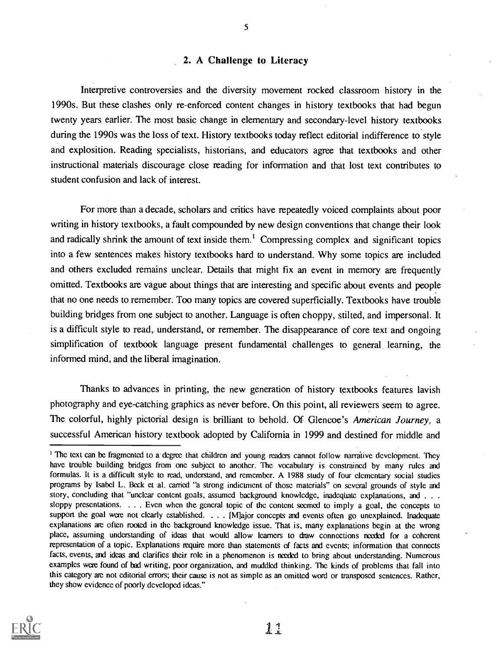#### 2. A Challenge to Literacy

Interpretive controversies and the diversity movement rocked classroom history in the 1990s. But these clashes only re-enforced content changes in history textbooks that had begun twenty years earlier. The most basic change in elementary and secondary-level history textbooks during the 1990s was the loss of text. History textbooks today reflect editorial indifference to style and explosition. Reading specialists, historians, and educators agree that textbooks and other instructional materials discourage close reading for information and that lost text contributes to student confusion and lack of interest.

For more than a decade, scholars and critics have repeatedly voiced complaints about poor writing in history textbooks, a fault compounded by new design conventions that change their look and radically shrink the amount of text inside them.<sup>1</sup> Compressing complex and significant topics into a few sentences makes history textbooks hard to understand. Why some topics are included and others excluded remains unclear. Details that might fix an event in memory are frequently omitted. Textbooks are vague about things that are interesting and specific about events and people that no one needs to remember. Too many topics are covered superficially. Textbooks have trouble building bridges from one subject to another. Language is often choppy, stilted, and impersonal. It is a difficult style to read, understand, or remember. The disappearance of core text and ongoing simplification of textbook language present fundamental challenges to general learning, the informed mind, and the liberal imagination.

Thanks to advances in printing, the new generation of history textbooks features lavish photography and eye-catching graphics as never before. On this point, all reviewers seem to agree. The colorful, highly pictorial design is brilliant to behold. Of Glencoe's American Journey, a successful American history textbook adopted by California in 1999 and destined for middle and

<sup>&</sup>lt;sup>1</sup> The text can be fragmented to a degree that children and young readers cannot follow narrative development. They have trouble building bridges from one subject to another. The vocabulary is constrained by many rules and formulas. It is a difficult style to read, understand, and remember. A 1988 study of four elementary social studies programs by Isabel L. Beck et al. carried "a strong indictment of those materials" on several grounds of style and story, concluding that "unclear content goals, assumed background knowledge, inadequate explanations, and . . . sloppy presentations. . . . Even when the general topic of the content seemed to imply a goal, the concepts to support the goal were not clearly established. . . . [M]ajor concepts and events often go unexplained. Inadequate explanations are often rooted in the background knowledge issue. That is, many explanations begin at the wrong place, assuming understanding of ideas that would allow learners to draw connections needed for a coherent representation of a topic. Explanations require more than statements of facts and events; information that connects facts, events, and ideas and clarifies their role in a phenomenon is needed to bring about understanding. Numerous examples were found of bad writing, poor organization, and muddled thinking. The kinds of problems that fall into this category are not editorial errors; their cause is not as simple as an omitted word or transposed sentences. Rather, they show evidence of poorly developed ideas."



 $\frac{1}{2}$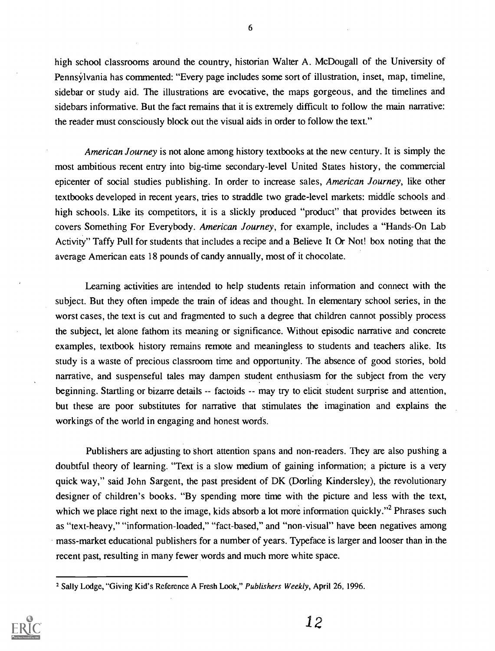high school classrooms around the country, historian Walter A. McDougall of the University of Pennsylvania has commented: "Every page includes some sort of illustration, inset, map, timeline, sidebar or study aid. The illustrations are evocative, the maps gorgeous, and the timelines and sidebars informative. But the fact remains that it is extremely difficult to follow the main narrative: the reader must consciously block out the visual aids in order to follow the text."

American Journey is not alone among history textbooks at the new century. It is simply the most ambitious recent entry into big-time secondary-level United States history, the commercial epicenter of social studies publishing. In order to increase sales, American Journey, like other textbooks developed in recent years, tries to straddle two grade-level markets: middle schools and high schools. Like its competitors, it is a slickly produced "product" that provides between its covers Something For Everybody. American Journey, for example, includes a "Hands-On Lab Activity" Taffy Pull for students that includes a recipe and a Believe It Or Not! box noting that the average American eats 18 pounds of candy annually, most of it chocolate.

Learning activities are intended to help students retain information and connect with the subject. But they often impede the train of ideas and thought. In elementary school series, in the worst cases, the text is cut and fragmented to such a degree that children cannot possibly process the subject, let alone fathom its meaning or significance. Without episodic narrative and concrete examples, textbook history remains remote and meaningless to students and teachers alike. Its study is a waste of precious classroom time and opportunity. The absence of good stories, bold narrative, and suspenseful tales may dampen student enthusiasm for the subject from the very beginning. Startling or bizarre details -- factoids -- may try to elicit student surprise and attention, but these are poor substitutes for narrative that stimulates the imagination and explains the workings of the world in engaging and honest words.

Publishers are adjusting to short attention spans and non-readers. They are also pushing a doubtful theory of learning. "Text is a slow medium of gaining information; a picture is a very quick way," said John Sargent, the past president of DK (Dorling Kindersley), the revolutionary designer of children's books. "By spending more time with the picture and less with the text, which we place right next to the image, kids absorb a lot more information quickly."<sup>2</sup> Phrases such as "text-heavy," "information-loaded," "fact-based," and "non-visual" have been negatives among mass-market educational publishers for a number of years. Typeface is larger and looser than in the recent past, resulting in many fewer words and much more white space.

<sup>2</sup> Sally Lodge, "Giving Kid's Reference A Fresh Look," Publishers Weekly, April 26, 1996.

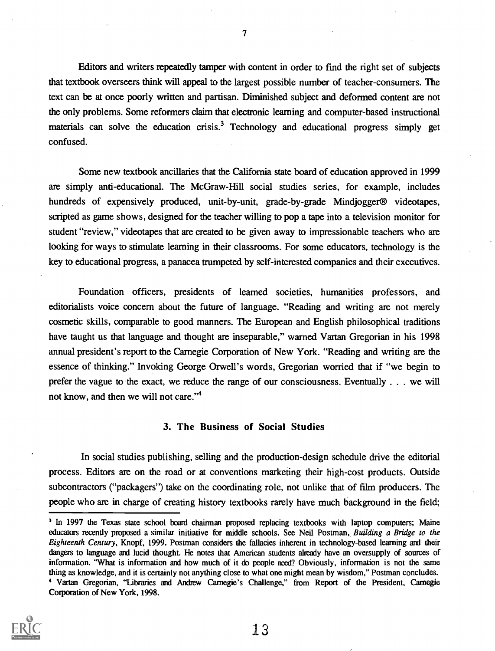Editors and writers repeatedly tamper with content in order to fmd the right set of subjects that textbook overseers think will appeal to the largest possible number of teacher-consumers. The text can be at once poorly written and partisan. Diminished subject and deformed content are not the only problems. Some reformers claim that electronic learning and computer-based instructional materials can solve the education crisis.<sup>3</sup> Technology and educational progress simply get confused.

Some new textbook ancillaries that the California state board of education approved in 1999 are simply anti-educational. The McGraw-Hill social studies series, for example, includes hundreds of expensively produced, unit-by-unit, grade-by-grade Mindjogger<sup>®</sup> videotapes, scripted as game shows, designed for the teacher willing to pop a tape into a television monitor for student "review," videotapes that are created to be given away to impressionable teachers who are looking for ways to stimulate learning in their classrooms. For some educators, technology is the key to educational progress, a panacea trumpeted by self-interested companies and their executives.

Foundation officers, presidents of learned societies, humanities professors, and editorialists voice concern about the future of language. "Reading and writing are not merely cosmetic skills, comparable to good manners. The European and English philosophical traditions have taught us that language and thought are inseparable," warned Vartan Gregorian in his 1998 annual president's report to the Carnegie Corporation of New York. "Reading and writing are the essence of thinking." Invoking George Orwell's words, Gregorian worried that if "we begin to prefer the vague to the exact, we reduce the range of our consciousness. Eventually . . . we will not know, and then we will not care."4

#### 3. The Business of Social Studies

In social studies publishing, selling and the production-design schedule drive the editorial process. Editors are on the road or at conventions marketing their high-cost products. Outside subcontractors ("packagers") take on the coordinating role, not unlike that of film producers. The people who are in charge of creating history textbooks rarely have much background in the field;

<sup>&</sup>lt;sup>3</sup> In 1997 the Texas state school board chairman proposed replacing textbooks with laptop computers; Maine educators recently proposed a similar initiative for middle schools. See Neil Postman, Building a Bridge to the Eighteenth Century, Knopf, 1999. Postman considers the fallacies inherent in technology-based learning and their dangers to language and lucid thought. He notes that American students already have an oversupply of sources of information. "What is information and how much of it do people need? Obviously, information is not the same thing as knowledge, and it is certainly not anything close to what one might mean by wisdom," Postman concludes. 4 Vartan Gregorian, "Libraries and Andrew Camegie's Challenge," from Report of the President, Carnegie Corporation of New York, 1998.



7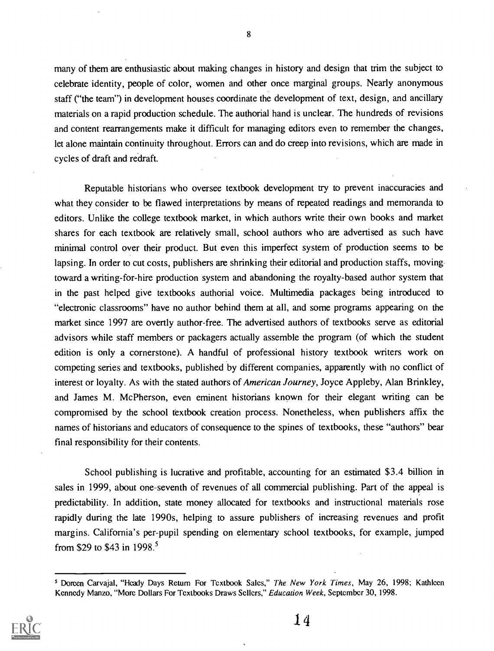many of them are enthusiastic about making changes in history and design that trim the subject to celebrate identity, people of color, women and other once marginal groups. Nearly anonymous staff ("the team") in development houses coordinate the development of text, design, and ancillary materials on a rapid production schedule. The authorial hand is unclear. The hundreds of revisions and content rearrangements make it difficult for managing editors even to remember the changes, let alone maintain continuity throughout. Errors can and do creep into revisions, which are made in cycles of draft and redraft.

Reputable historians who oversee textbook development try to prevent inaccuracies and what they consider to be flawed interpretations by means of repeated readings and memoranda to editors. Unlike the college textbook market, in which authors write their own books and market shares for each textbook are relatively small, school authors who are advertised as such have minimal control over their product. But even this imperfect system of production seems to be lapsing. In order to cut costs, publishers are shrinking their editorial and production staffs, moving toward a writing-for-hire production system and abandoning the royalty-based author system that in the past helped give textbooks authorial voice. Multimedia packages being introduced to "electronic classrooms" have no author behind them at all, and some programs appearing on the market since 1997 are overtly author-free. The advertised authors of textbooks serve as editorial advisors while staff members or packagers actually assemble the program (of which the student edition is only a cornerstone). A handful of professional history textbook writers work on competing series and textbooks, published by different companies, apparently with no conflict of interest or loyalty. As with the stated authors of American Journey, Joyce Appleby, Alan Brinkley, and James M. McPherson, even eminent historians known for their elegant writing can be compromised by the school textbook creation process. Nonetheless, when publishers affix the names of historians and educators of consequence to the spines of textbooks, these "authors" bear final responsibility for their contents.

School publishing is lucrative and profitable, accounting for an estimated \$3.4 billion in sales in 1999, about one-seventh of revenues of all commercial publishing. Part of the appeal is predictability. In addition, state money allocated for textbooks and instructional materials rose rapidly during the late 1990s, helping to assure publishers of increasing revenues and profit margins. California's per-pupil spending on elementary school textbooks, for example, jumped from \$29 to \$43 in 1998.<sup>5</sup>

<sup>&</sup>lt;sup>5</sup> Doreen Carvajal, "Heady Days Return For Textbook Sales," The New York Times, May 26, 1998; Kathleen Kennedy Manzo, "More Dollars For Textbooks Draws Sellers," Education Week, September 30, 1998.

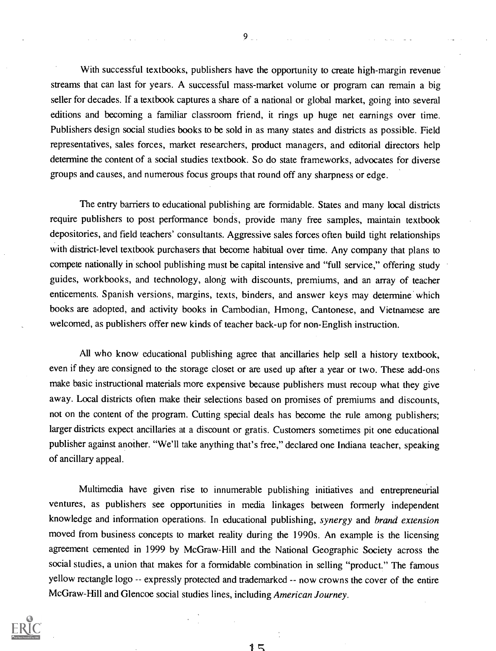With successful textbooks, publishers have the opportunity to create high-margin revenue streams that can last for years. A successful mass-market volume or program can remain a big seller for decades. If a textbook captures a share of a national or global market, going into several editions and becoming a familiar classroom friend, it rings up huge net earnings over time. Publishers design social studies books to be sold in as many states and districts as possible. Field representatives, sales forces, market researchers, product managers, and editorial directors help determine the content of a social studies textbook. So do state frameworks, advocates for diverse groups and causes, and numerous focus groups that round off any sharpness or edge.

The entry barriers to educational publishing are formidable. States and many local districts require publishers to post performance bonds, provide many free samples, maintain textbook depositories, and field teachers' consultants. Aggressive sales forces often build tight relationships with district-level textbook purchasers that become habitual over time. Any company that plans to compete nationally in school publishing must be capital intensive and "full service," offering study guides, workbooks, and technology, along with discounts, premiums, and an array of teacher enticements. Spanish versions, margins, texts, binders, and answer keys may determine which books are adopted, and activity books in Cambodian, Hmong, Cantonese, and Vietnamese are welcomed, as publishers offer new kinds of teacher back-up for non-English instruction.

All who know educational publishing agree that ancillaries help sell a history textbook, even if they are consigned to the storage closet or are used up after a year or two. These add-ons make basic instructional materials more expensive because publishers must recoup what they give away. Local districts often make their selections based on promises of premiums and discounts, not on the content of the program. Cutting special deals has become the rule among publishers; larger districts expect ancillaries at a discount or gratis. Customers sometimes pit one educational publisher against another. "We'll take anything that's free," declared one Indiana teacher, speaking of ancillary appeal.

Multimedia have given rise to innumerable publishing initiatives and entrepreneurial ventures, as publishers see opportunities in media linkages between formerly independent knowledge and information operations. In educational publishing, synergy and brand extension moved from business concepts to market reality during the 1990s. An example is the licensing agreement cemented in 1999 by McGraw-Hill and the National Geographic Society across the social studies, a union that makes for a formidable combination in selling "product." The famous yellow rectangle logo -- expressly protected and trademarked -- now crowns the cover of the entire McGraw-Hill and Glencoe social studies lines, including American Journey.



 $9<sub>1</sub>$ 

1 L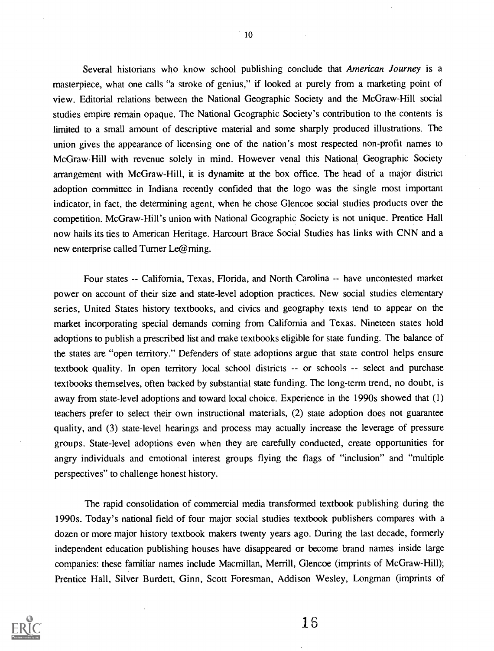Several historians who know school publishing conclude that American Journey is a masterpiece, what one calls "a stroke of genius," if looked at purely from a marketing point of view. Editorial relations between the National Geographic Society and the McGraw-Hill social studies empire remain opaque. The National Geographic Society's contribution to the contents is limited to a small amount of descriptive material and some sharply produced illustrations. The union gives the appearance of licensing one of the nation's most respected non-profit names to McGraw-Hill with revenue solely in mind. However venal this National, Geographic Society arrangement with McGraw-Hill, it is dynamite at the box office. The head of a major district adoption committee in Indiana recently confided that the logo was the single most important indicator, in fact, the determining agent, when he chose Glencoe social studies products over the competition. McGraw-Hill's union with National Geographic Society is not unique. Prentice Hall now hails its ties to American Heritage. Harcourt Brace Social Studies has links with CNN and a new enterprise called Turner Le@rning.

Four states -- California, Texas, Florida, and North Carolina -- have uncontested market power on account of their size and state-level adoption practices. New social studies elementary series, United States history textbooks, and civics and geography texts tend to appear on the market incorporating special demands coming from California and Texas. Nineteen states hold adoptions to publish a prescribed list and make textbooks eligible for state funding. The balance of the states are "open territory." Defenders of state adoptions argue that state control helps ensure textbook quality. In open territory local school districts  $-$  or schools  $-$  select and purchase textbooks themselves, often backed by substantial state funding. The long-term trend, no doubt, is away from state-level adoptions and toward local choice. Experience in the 1990s showed that (1) teachers prefer to select their own instructional materials, (2) state adoption does not guarantee quality, and (3) state-level hearings and process may actually increase the leverage of pressure groups. State-level adoptions even when they are carefully conducted, create opportunities for angry individuals and emotional interest groups flying the flags of "inclusion" and "multiple perspectives" to challenge honest history.

The rapid consolidation of commercial media transformed textbook publishing during the 1990s. Today's national field of four major social studies textbook publishers compares with a dozen or more major history textbook makers twenty years ago. During the last decade, formerly independent education publishing houses have disappeared or become brand names inside large companies: these familiar names include Macmillan, Merrill, Glencoe (imprints of McGraw-Hill); Prentice Hall, Silver Burdett, Ginn, Scott Foresman, Addison Wesley, Longman (imprints of

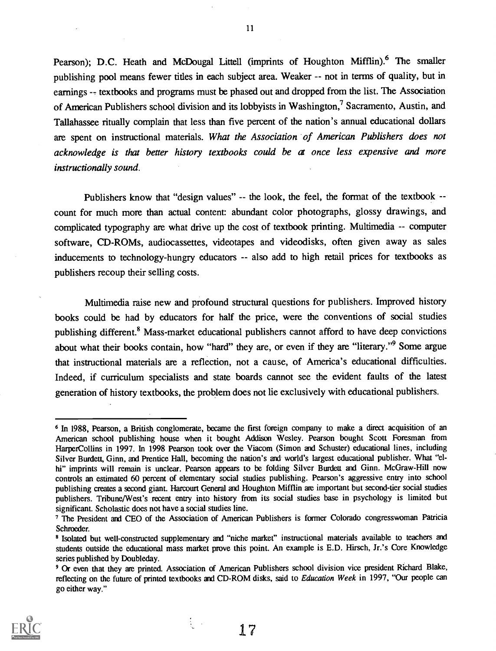Pearson); D.C. Heath and McDougal Littell (imprints of Houghton Mifflin).<sup>6</sup> The smaller publishing pool means fewer titles in each subject area. Weaker -- not in terms of quality, but in earnings -- textbooks and programs must be phased out and dropped from the list. The Association of American Publishers school division and its lobbyists in Washington,<sup>7</sup> Sacramento, Austin, and Tallahassee ritually complain that less than five percent of the nation's annual educational dollars are spent on instructional materials. What the Association of American Publishers does not acknowledge is that better history textbooks could be at once less expensive and more instructionally sound.

Publishers know that "design values" -- the look, the feel, the format of the textbook -count for much more than actual content: abundant color photographs, glossy drawings, and complicated typography are what drive up the cost of textbook printing. Multimedia -- computer software, CD-ROMs, audiocassettes, videotapes and videodisks, often given away as sales inducements to technology-hungry educators -- also add to high retail prices for textbooks as publishers recoup their selling costs.

Multimedia raise new and profound structural questions for publishers. Improved history books could be had by educators for half the price, were the conventions of social studies publishing different.<sup>8</sup> Mass-market educational publishers cannot afford to have deep convictions about what their books contain, how "hard" they are, or even if they are "literary."9 Some argue that instructional materials are a reflection, not a cause, of America's educational difficulties. Indeed, if curriculum specialists and state boards cannot see the evident faults of the latest generation of history textbooks, the problem does not lie exclusively with educational publishers.

<sup>&</sup>lt;sup>9</sup> Or even that they are printed. Association of American Publishers school division vice president Richard Blake, reflecting on the future of printed textbooks and CD-ROM disks, said to Education Week in 1997, "Our people can go either way."



11

17

 $\frac{1}{2}$ 

<sup>6</sup> In 1988, Pearson, a British conglomerate, became the first foreign company to make a direct acquisition of an American school publishing house when it bought Addison Wesley. Pearson bought Scott Foresman from HarperCollins in 1997. In 1998 Pearson took over the Viacom (Simon and Schuster) educational lines, including Silver Burdett, Ginn, and Prentice Hall, becoming the nation's and world's largest educational publisher. What "elhi" imprints will remain is unclear. Pearson appears to be folding Silver Burdett and Ginn. McGraw-Hill now controls an estimated 60 percent of elementary social studies publishing. Pearson's aggressive entry into school publishing creates a second giant. Harcourt General and Houghton Mifflin are important but second-tier social studies publishers. Tribune/West's recent entry into history from its social studies base in psychology is limited but significant. Scholastic does not have a social studies line.

<sup>&</sup>lt;sup>7</sup> The President and CEO of the Association of American Publishers is former Colorado congresswoman Patricia Schroeder.

E Isolated but well-constructed supplementary and "niche market" instructional materials available to teachers and students outside the educational mass market prove this point. An example is E.D. Hirsch, Jr.'s Core Knowledge series published by Doubleday.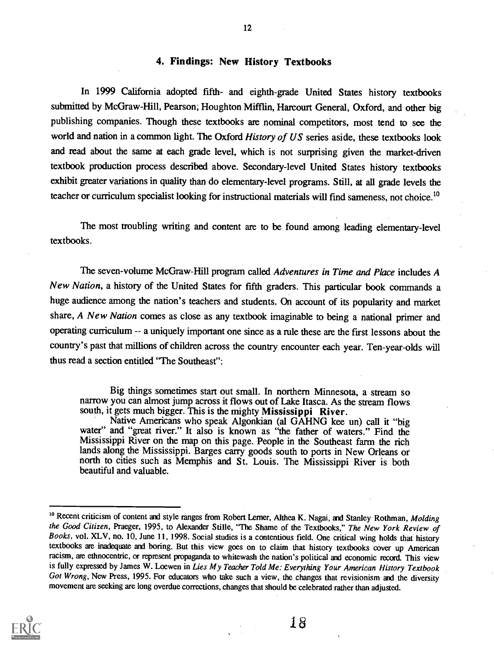#### 4. Findings: New History Textbooks

In 1999 California adopted fifth- and eighth-grade United States history textbooks submitted by McGraw-Hill, Pearson; Houghton Mifflin, Harcourt General, Oxford, and other big publishing companies. Though these textbooks are nominal competitors, most tend to see the world and nation in a common light. The Oxford History of US series aside, these textbooks look and read about the same at each grade level, which is not surprising given the market-driven textbook production process described above. Secondary-level United States history textbooks exhibit greater variations in quality than do elementary-level programs. Still, at all grade levels the teacher or curriculum specialist looking for instructional materials will find sameness, not choice.<sup>10</sup>

The most troubling writing and content are to be found among leading elementary-level textbooks.

The seven-volume McGraw-Hill program called Adventures in Time and Place includes A New Nation, a history of the United States for fifth graders. This particular book commands a huge audience among the nation's teachers and students. On account of its popularity and market share, A New Nation comes as close as any textbook imaginable to being a national primer and operating curriculum -- a uniquely important one since as a rule these are the first lessons about the country's past that millions of children across the country encounter each year. Ten-year-olds will thus read a section entitled "The Southeast":

Big things sometimes start out small. In northern Minnesota, a stream so narrow you can almost jump across it flows out of Lake Itasca. As the stream flows south, it gets much bigger. This is the mighty Mississippi River.

Native Americans who speak Algonkian (al GAHNG kee un) call it "big water" and "great river." It also is known as "the father of waters." Find the Mississippi River on the map on this page. People in the Southeast farm the rich lands along the Mississippi. Barges carry goods south to ports in New Orleans or north to cities such as Memphis and St. Louis. The Mississippi River is both beautiful and valuable.

 $\frac{1}{2} \left( \frac{1}{2} \frac{1}{2} \right) \left( \frac{1}{2} \right) \left( \frac{1}{2} \right)$ 



<sup>&</sup>lt;sup>10</sup> Recent criticism of content and style ranges from Robert Lerner, Althea K. Nagai, and Stanley Rothman, *Molding* the Good Citizen, Praeger, 1995, to Alexander Stille, "The Shame of the Textbooks," The New York Review of Books, vol. XLV, no. 10, June 11, 1998. Social studies is a contentious field. One critical wing holds that history textbooks are inadequate and boring. But this view goes on to claim that history textbooks cover up American racism, are ethnocentric, or represent propaganda to whitewash the nation's political and economic record. This view is fully expressed by James W. Loewen in Lies My Teacher Told Me: Everything Your American History Textbook Got Wrong, New Press, 1995. For educators who take such a view, the changes that revisionism and the diversity movement are seeking are long overdue corrections, changes that should be celebrated rather than adjusted.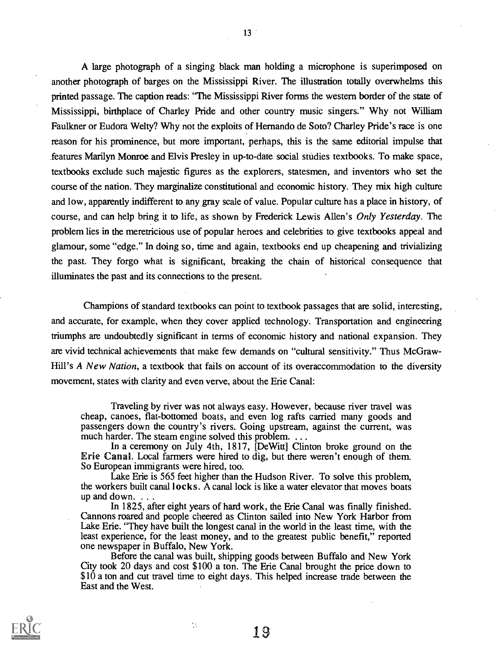A large photograph of a singing black man holding a microphone is superimposed on another photograph of barges on the Mississippi River. The illustration totally overwhelms this printed passage. The caption reads: "The Mississippi River forms the western border of the state of Mississippi, birthplace of Charley Pride and other country music singers." Why not William Faulkner or Eudora Welty? Why not the exploits of Hernando de Soto? Charley Pride's race is one reason for his prominence, but more important, perhaps, this is the same editorial impulse that features Marilyn Monroe and Elvis Presley in up-to-date social studies textbooks. To make space, textbooks exclude such majestic figures as the explorers, statesmen, and inventors who set the course of the nation. They marginalize constitutional and economic history. They mix high culture and low, apparently indifferent to any gray scale of value. Popular culture has a place in history, of course, and can help bring it to life, as shown by Frederick Lewis Allen's Only Yesterday. The problem lies in the meretricious use of popular heroes and celebrities to give textbooks appeal and glamour, some "edge." In doing so, time and again, textbooks end up cheapening and trivializing the past. They forgo what is significant, breaking the chain of historical consequence that illuminates the past and its connections to the present.

Champions of standard textbooks can point to textbook passages that are solid, interesting, and accurate, for example, when they cover applied technology. Transportation and engineering triumphs are undoubtedly significant in terms of economic history and national expansion. They are vivid technical achievements that make few demands on "cultural sensitivity." Thus McGraw-Hill's A New Nation, a textbook that fails on account of its overaccommodation to the diversity movement, states with clarity and even verve, about the Erie Canal:

Traveling by river was not always easy. However, because river travel was cheap, canoes, flat-bottomed boats, and even log rafts carried many goods and passengers down the country's rivers. Going upstream, against the current, was much harder. The steam engine solved this problem. . . .

In a ceremony on July 4th, 1817, [DeWitt] Clinton broke ground on the Erie Canal. Local farmers were hired to dig, but there weren't enough of them. So European immigrants were hired, too.

Lake Erie is 565 feet higher than the Hudson River. To solve this problem, the workers built canal locks. A canal lock is like a water elevator that moves boats up and down. . . .

In 1825, after eight years of hard work, the Erie Canal was finally finished. Cannons roared and people cheered as Clinton sailed into New York Harbor from Lake Erie. "They have built the longest canal in the world in the least time, with the least experience, for the least money, and to the greatest public benefit," reported one newspaper in Buffalo, New York.

Before the canal was built, shipping goods between Buffalo and New York City took 20 days and cost \$100 a ton. The Erie Canal brought the price down to \$10 a ton and cut travel time to eight days. This helped increase trade between the East and the West.

 $\mathcal{L}$ 



 $13<sup>2</sup>$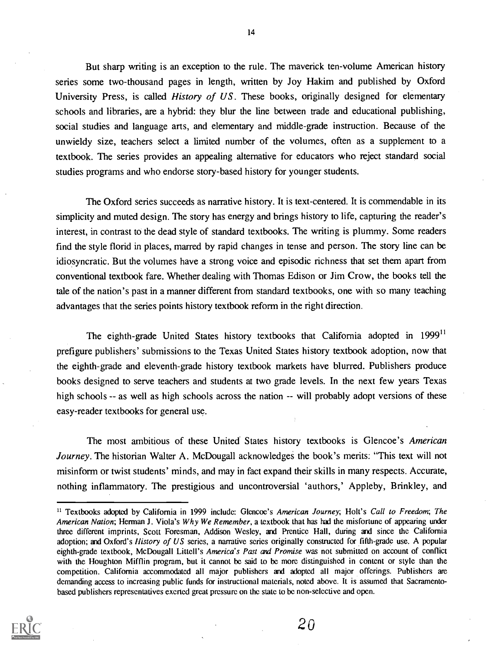But sharp writing is an exception to the rule. The maverick ten-volume American history series some two-thousand pages in length, written by Joy Hakim and published by Oxford University Press, is called *History of US*. These books, originally designed for elementary schools and libraries, are a hybrid: they blur the line between trade and educational publishing, social studies and language arts, and elementary and middle-grade instruction. Because of the unwieldy size, teachers select a limited number of the volumes, often as a supplement to a textbook. The series provides an appealing alternative for educators who reject standard social studies programs and who endorse story-based history for younger students.

The Oxford series succeeds as narrative history. It is text-centered. It is commendable in its simplicity and muted design. The story has energy and brings history to life, capturing the reader's interest, in contrast to the dead style of standard textbooks. The writing is plummy. Some readers find the style florid in places, marred by rapid changes in tense and person. The story line can be idiosyncratic. But the volumes have a strong voice and episodic richness that set them apart from conventional textbook fare. Whether dealing with Thomas Edison or Jim Crow, the books tell the tale of the nation's past in a manner different from standard textbooks, one with so many teaching advantages that the series points history textbook reform in the right direction.

The eighth-grade United States history textbooks that California adopted in 1999<sup>11</sup> prefigure publishers' submissions to the Texas United States history textbook adoption, now that the eighth-grade and eleventh-grade history textbook markets have blurred. Publishers produce books designed to serve teachers and students at two grade levels. In the next few years Texas high schools -- as well as high schools across the nation -- will probably adopt versions of these easy-reader textbooks for general use.

The most ambitious of these United States history textbooks is Glencoe's American Journey. The historian Walter A. McDougall acknowledges the book's merits: "This text will not misinform or twist students' minds, and may in fact expand their skills in many respects. Accurate, nothing inflammatory. The prestigious and uncontroversial 'authors,' Appleby, Brinkley, and

<sup>&</sup>lt;sup>11</sup> Textbooks adopted by California in 1999 include: Glencoe's American Journey; Holt's Call to Freedom; The American Nation; Herman J. Viola's Why We Remember, a textbook that has had the misfortune of appearing under three different imprints, Scott Foresman, Addison Wesley, and Prentice Hall, during and since the California adoption; and Oxford's History of US series, a narrative series originally constructed for fifth-grade use. A popular eighth-grade textbook, McDougall Littell's America's Past and Promise was not submitted on account of conflict with the Houghton Mifflin program, but it cannot be said to be more distinguished in content or style than the competition. California accommodated all major publishers and adopted all major offerings. Publishers are demanding access to increasing public funds for instructional materials, noted above. It is assumed that Sacramentobased publishers representatives exerted great pressure on the state to be non-selective and open.

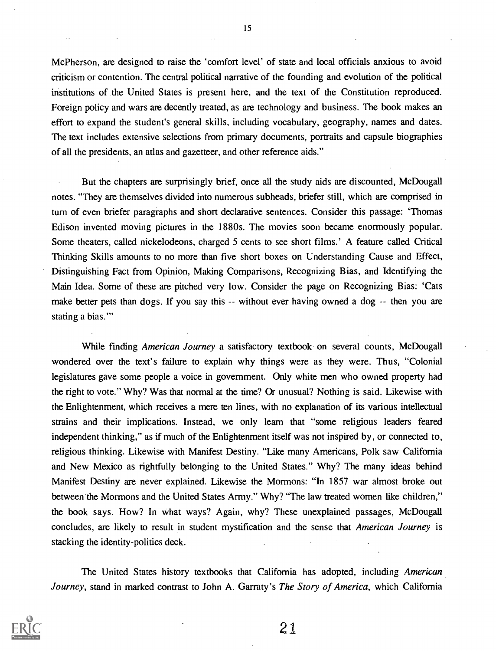McPherson, are designed to raise the 'comfort level' of state and local officials anxious to avoid criticism or contention. The central political narrative of the founding and evolution of the political institutions of the United States is present here, and the text of the Constitution reproduced. Foreign policy and wars are decently treated, as are technology and business. The book makes an effort to expand the student's general skills, including vocabulary, geography, names and dates. The text includes extensive selections from primary documents, portraits and capsule biographies of all the presidents, an atlas and gazetteer, and other reference aids."

But the chapters are surprisingly brief, once all the study aids are discounted, McDougall notes. "They are themselves divided into numerous subheads, briefer still, which are comprised in turn of even briefer paragraphs and short declarative sentences. Consider this passage: 'Thomas Edison invented moving pictures in the 1880s. The movies soon became enormously popular. Some theaters, called nickelodeons, charged 5 cents to see short films.' A feature. called Critical Thinking Skills amounts to no more than five short boxes on Understanding Cause and Effect, Distinguishing Fact from Opinion, Making Comparisons, Recognizing Bias, and Identifying the Main Idea. Some of these are pitched very low. Consider the page on Recognizing Bias: 'Cats make better pets than dogs. If you say this -- without ever having owned a dog -- then you are stating a bias."

While finding American Journey a satisfactory textbook on several counts, McDougall wondered over the text's failure to explain why things were as they were. Thus, "Colonial legislatures gave some people a voice in government. Only white men who owned property had the right to vote." Why? Was that normal at the time? Or unusual? Nothing is said. Likewise with the Enlightenment, which receives a mere ten lines, with no explanation of its various intellectual strains and their implications. Instead, we only learn that "some religious leaders feared independent thinking," as if much of the Enlightenment itself was not inspired by, or connected to, religious thinking. Likewise with Manifest Destiny. "Like many Americans, Polk saw California and New Mexico as rightfully belonging to the United States." Why? The many ideas behind Manifest Destiny are never explained. Likewise the Mormons: "In 1857 war almost broke out between the Mormons and the United States Army." Why? "The law treated women like children," the book says. How? In what ways? Again, why? These unexplained passages, McDougall concludes, are likely to result in student mystification and the sense that American Journey is stacking the identity-politics deck.

The United States history textbooks that California has adopted, including American Journey, stand in marked contrast to John A. Garraty's The Story of America, which California



15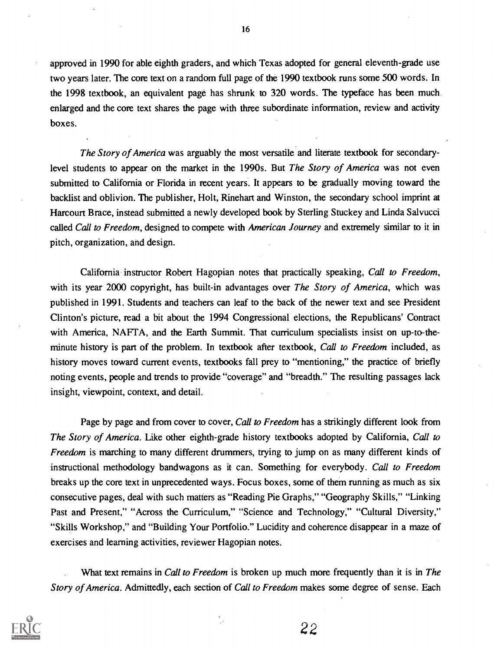approved in 1990 for able eighth graders, and which Texas adopted for general eleventh-grade use two years later. The core text on a random full page of the 1990 textbook runs some 500 words. In the 1998 textbook, an equivalent page has shrunk to 320 words. The typeface has been much enlarged and the core text shares the page with three subordinate information, review and activity boxes.

The Story of America was arguably the most versatile and literate textbook for secondarylevel students to appear on the market in the 1990s. But The Story of America was not even submitted to California or Florida in recent years. It appears to be gradually moving toward the backlist and oblivion. The publisher, Holt, Rinehart and Winston, the secondary school imprint at Harcourt Brace, instead submitted a newly developed book by Sterling Stuckey and Linda Salvucci called Call to Freedom, designed to compete with American Journey and extremely similar to it in pitch, organization, and design.

California instructor Robert Hagopian notes that practically speaking, Call to Freedom, with its year 2000 copyright, has built-in advantages over The Story of America, which was published in 1991. Students and teachers can leaf to the back of the newer text and see President Clinton's picture, read a bit about the 1994 Congressional elections, the Republicans' Contract with America, NAFTA, and the Earth Summit. That curriculum specialists insist on up-to-theminute history is part of the problem. In textbook after textbook, Call to Freedom included, as history moves toward current events, textbooks fall prey to "mentioning," the practice of briefly noting events, people and trends to provide "coverage" and "breadth." The resulting passages lack insight, viewpoint, context, and detail.

Page by page and from cover to cover, *Call to Freedom* has a strikingly different look from The Story of America. Like other eighth-grade history textbooks adopted by California, Call to Freedom is marching to many different drummers, trying to jump on as many different kinds of instructional methodology bandwagons as it can. Something for everybody. Call to Freedom breaks up the core text in unprecedented ways. Focus boxes, some of them running as much as six consecutive pages, deal with such matters as "Reading Pie Graphs," "Geography Skills," "Linking Past and Present," "Across the Curriculum," "Science and Technology," "Cultural Diversity," "Skills Workshop," and "Building Your Portfolio." Lucidity and coherence disappear in a maze of exercises and learning activities, reviewer Hagopian notes.

What text remains in Call to Freedom is broken up much more frequently than it is in The Story of America. Admittedly, each section of Call to Freedom makes some degree of sense. Each



16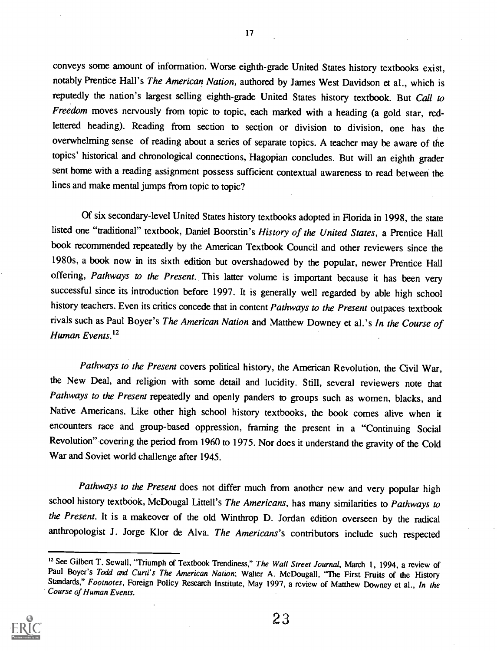conveys some amount of information. Worse eighth-grade United States history textbooks exist, notably Prentice Hall's The American Nation, authored by James West Davidson et al., which is reputedly the nation's largest selling eighth-grade United States history textbook. But Call to Freedom moves nervously from topic to topic, each marked with a heading (a gold star, redlettered heading). Reading from section to section or division to division, one has the overwhelming sense of reading about a series of separate topics. A teacher may be aware of the topics' historical and chronological connections, Hagopian concludes. But will an eighth grader sent home with a reading assignment possess sufficient contextual awareness to read between the lines and make mental jumps from topic to topic?

Of six secondary-level United States history textbooks adopted in Florida in 1998, the state listed one "traditional" textbook, Daniel Boorstin's History of the United States, a Prentice Hall book recommended repeatedly by the American Textbook Council and other reviewers since the 1980s, a book now in its sixth edition but overshadowed by the popular, newer Prentice Hall offering, Pathways to the Present. This latter volume is important because it has been very successful since its introduction before 1997. It is generally well regarded by able high school history teachers. Even its critics concede that in content Pathways to the Present outpaces textbook rivals such as Paul Boyer's The American Nation and Matthew Downey et al.'s In the Course of Human Events.<sup>12</sup>

Pathways to the Present covers political history, the American Revolution, the Civil War, the New Deal, and religion with some detail and lucidity. Still, several reviewers note that Pathways to the Present repeatedly and openly panders to groups such as women, blacks, and Native Americans. Like other high school history textbooks, the book comes alive when it encounters race and group-based oppression, framing the present in a "Continuing Social Revolution" covering the period from 1960 to 1975. Nor does it understand the gravity of the Cold War and Soviet world challenge after 1945.

Pathways to the Present does not differ much from another new and very popular high school history textbook, McDougal Littell's The Americans, has many similarities to Pathways to the Present. It is a makeover of the old Winthrop D. Jordan edition overseen by the radical anthropologist J. Jorge Klor de Alva. The Americans's contributors include such respected

<sup>&</sup>lt;sup>12</sup> See Gilbert T. Sewall, "Triumph of Textbook Trendiness," The Wall Street Journal, March 1, 1994, a review of Paul Boyer's Todd and Curti's The American Nation; Walter A. McDougall, "The First Fruits of the History Standards," Footnotes, Foreign Policy Research Institute, May 1997, a review of Matthew Downey et al., In the Course of Human Events.



17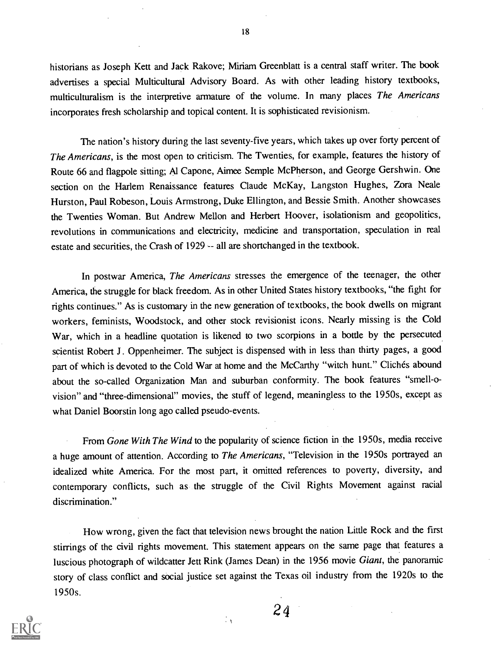historians as Joseph Kett and Jack Rakove; Miriam Greenblatt is a central staff writer. The book advertises a special Multicultural Advisory Board. As with other leading history textbooks, multiculturalism is the interpretive armature of the volume. In many places The Americans incorporates fresh scholarship and topical content. It is sophisticated revisionism.

The nation's history during the last seventy-five years, which takes up over forty percent of The Americans, is the most open to criticism. The Twenties, for example, features the history of Route 66 and flagpole sitting; Al Capone, Aimee Semple McPherson, and George Gershwin. One section on the Harlem Renaissance features Claude McKay, Langston Hughes, Zora Neale Hurston, Paul Robeson, Louis Armstrong, Duke Ellington, and Bessie Smith. Another showcases the Twenties Woman. But Andrew Mellon and Herbert Hoover, isolationism and geopolitics, revolutions in communications and electricity, medicine and transportation, speculation in real estate and securities, the Crash of 1929 -- all are shortchanged in the textbook.

In postwar America, The Americans stresses the emergence of the teenager, the other America, the struggle for black freedom. As in other United States history textbooks, "the fight for rights continues." As is customary in the new generation of textbooks, the book dwells on migrant workers, feminists, Woodstock, and other stock revisionist icons. Nearly missing is the Cold War, which in a headline quotation is likened to two scorpions in a bottle by the persecuted scientist Robert J. Oppenheimer. The subject is dispensed with in less than thirty pages, a good part of which is devoted to the Cold War at home and the McCarthy "witch hunt." Clichés abound about the so-called Organization Man and suburban conformity. The book features "smell-ovision" and "three-dimensional" movies, the stuff of legend, meaningless to the 1950s, except as what Daniel Boorstin long ago called pseudo-events.

From Gone With The Wind to the popularity of science fiction in the 1950s, media receive a huge amount of attention. According to The Americans, "Television in the 1950s portrayed an idealized white America. For the most part, it omitted references to poverty, diversity, and contemporary conflicts, such as the struggle of the Civil Rights Movement against racial discrimination."

How wrong, given the fact that television news brought the nation Little Rock and the first stirrings of the civil rights movement. This statement appears on the same page that features a luscious photograph of wildcatter Jett Rink (James Dean) in the 1956 movie Giant, the panoramic story of class conflict and social justice set against the Texas oil industry from the 1920s to the 1950s.

÷γ



18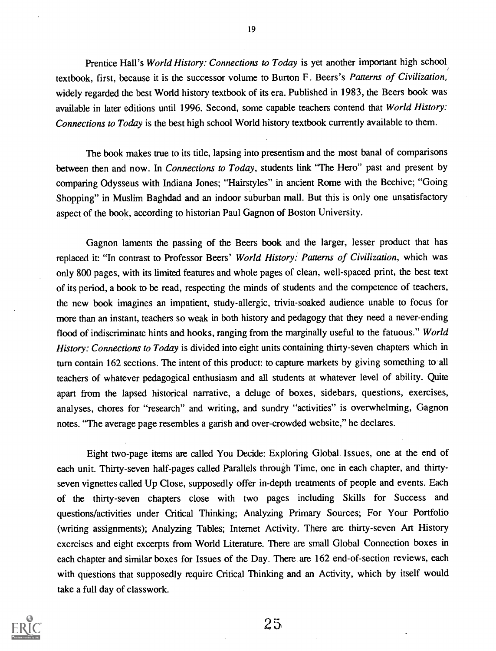Prentice Hall's World History: Connections to Today is yet another important high school textbook, first, because it is the successor volume to Burton F. Beers's Patterns of Civilization, widely regarded the best World history textbook of its era. Published in 1983, the Beers book was available in later editions until 1996. Second, some capable teachers contend that World History: Connections to Today is the best high school World history textbook currently available to them.

The book makes true to its title, lapsing into presentism and the most banal of comparisons between then and now. In *Connections to Today*, students link "The Hero" past and present by comparing Odysseus with Indiana Jones; "Hairstyles" in ancient Rome with the Beehive; "Going Shopping" in Muslim Baghdad and an indoor suburban mall. But this is only one unsatisfactory aspect of the book, according to historian Paul Gagnon of Boston University.

Gagnon laments the passing of the Beers book and the larger, lesser product that has replaced it: "In contrast to Professor Beers' World History: Patterns of Civilization, which was only 800 pages, with its limited features and whole pages of clean, well-spaced print, the best text of its period, a book to be read, respecting the minds of students and the competence of teachers, the new book imagines an impatient, study-allergic, trivia-soaked audience unable to focus for more than an instant, teachers so weak in both history and pedagogy that they need a never-ending flood of indiscriminate hints and hooks, ranging from the marginally useful to the fatuous." World History: Connections to Today is divided into eight units containing thirty-seven chapters which in turn contain 162 sections. The intent of this product: to capture markets by giving something to all teachers of whatever pedagogical enthusiasm and all students at whatever level of ability. Quite apart from the lapsed historical narrative, a deluge of boxes, sidebars, questions, exercises, analyses, chores for "research" and writing, and sundry "activities" is overwhelming, Gagnon notes. "The average page resembles a garish and over-crowded website," he declares.

Eight two-page items are called You Decide: Exploring Global. Issues, one at the end of each unit. Thirty-seven half-pages called Parallels through Time, one in each chapter, and thirtyseven vignettes called Up Close, supposedly offer in-depth treatments of people and events. Each of the thirty-seven chapters close with two pages including Skills for Success and questions/activities under Critical Thinking; Analyzing Primary Sources; For Your Portfolio (writing assignments); Analyzing Tables; Internet Activity. There are thirty-seven Art History exercises and eight excerpts from World Literature. There are small Global Connection boxes in each chapter and similar boxes for Issues of the Day. There. are 162 end-of-section reviews, each with questions that supposedly require Critical Thinking and an Activity, which by itself would take a full day of classwork.



19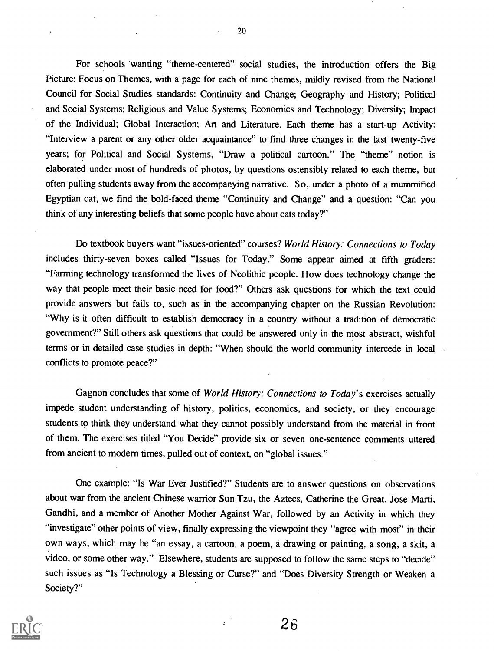For schools wanting "theme-centered" social studies, the introduction offers the Big Picture: Focus on Themes, with a page for each of nine themes, mildly revised from the National Council for Social Studies standards: Continuity and Change; Geography and History; Political and Social Systems; Religious and Value Systems; Economics and Technology; Diversity; Impact of the Individual; Global Interaction; Art and Literature. Each theme has a start-up Activity: "Interview a parent or any other older acquaintance" to find three changes in the last twenty-five years; for Political and Social Systems, "Draw a political cartoon." The "theme" notion is elaborated under most of hundreds of photos, by questions ostensibly related to each theme, but often pulling students away from the accompanying narrative. So, under a photo of a mummified Egyptian cat, we find the bold-faced theme "Continuity and Change" and a question: "Can you think of any interesting beliefs that some people have about cats today?"

Do textbook buyers want "issues-oriented" courses? World History: Connections to Today includes thirty-seven boxes called "Issues for Today." Some appear aimed at fifth graders: "Farming technology transformed the lives of Neolithic people. How does technology change the way that people meet their basic need for food?" Others ask questions for which the text could provide answers but fails to, such as in the accompanying chapter on the Russian Revolution: "Why is it often difficult to establish democracy in a country without a tradition of democratic government?" Still others ask questions that could be answered only in the most abstract, wishful terms or in detailed case studies in depth: "When should the world community intercede in local conflicts to promote peace?"

Gagnon concludes that some of World History: Connections to Today's exercises actually impede student understanding of history, politics, economics, and society, or they encourage students to think they understand what they cannot possibly understand from the material in front of them. The exercises titled "You Decide" provide six or seven one-sentence comments uttered from ancient to modern times, pulled out of context, on "global issues."

One example: "Is War Ever Justified?" Students are to answer questions on observations about war from the ancient Chinese warrior Sun Tzu, the Aztecs, Catherine the Great, Jose Marti, Gandhi, and a member of Another Mother Against War, followed by an Activity in which they "investigate" other points of view, finally expressing the viewpoint they "agree with most" in their own ways, which may be "an essay, a cartoon, a poem, a drawing or painting, a song, a skit, a video, or some other way." Elsewhere, students are supposed to follow the same steps to "decide" such issues as "Is Technology a Blessing or Curse?" and "Does Diversity Strength or Weaken a Society?"



20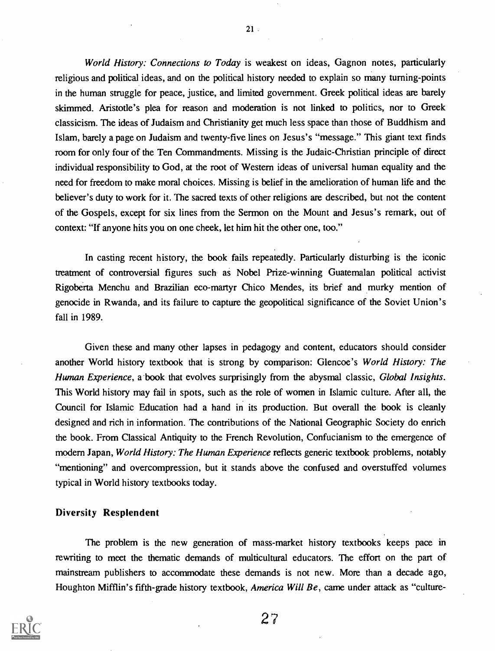World History: Connections to Today is weakest on ideas, Gagnon notes, particularly religious and political ideas, and on the political history needed to explain so many turning-points in the human struggle for peace, justice, and limited government. Greek political ideas are barely skimmed. Aristotle's plea for reason and moderation is not linked to politics, nor to Greek classicism. The ideas of Judaism and Christianity get much less space than those of Buddhism and Islam, barely a page on Judaism and twenty-five lines on Jesus's "message." This giant text finds room for only four of the Ten Commandments. Missing is the Judaic-Christian principle of direct individual responsibility to God, at the root of Western ideas of universal human equality and the need for freedom to make moral choices. Missing is belief in the amelioration of human life and the believer's duty to work for it. The sacred texts of other religions are described, but not the content of the Gospels, except for six lines from the Sermon on the Mount and Jesus's remark, out of context: "If anyone hits you on one cheek, let him hit the other one, too."

In casting recent history, the book fails repeatedly. Particularly disturbing is the iconic treatment of controversial figures such as Nobel Prize-winning Guatemalan political activist Rigoberta Menchu and Brazilian eco-martyr Chico Mendes, its brief and murky mention of genocide in Rwanda, and its failure to capture the geopolitical significance of the Soviet Union's fall in 1989.

Given these and many other lapses in pedagogy and content, educators should consider another World history textbook that is strong by comparison: Glencoe's World History: The Human Experience, a book that evolves surprisingly from the abysmal classic, Global Insights. This World history may fail in spots, such as the role of women in Islamic culture. After all, the Council for Islamic Education had a hand in its production. But overall the book is cleanly designed and rich in information. The contributions of the National Geographic Society do enrich the book. From Classical Antiquity to the French Revolution, Confucianism to the emergence of modern Japan, World History: The Human Experience reflects generic textbook problems, notably "mentioning" and overcompression, but it stands above the confused and overstuffed volumes typical in World history textbooks today.

#### Diversity Resplendent

The problem is the new generation of mass-market history textbooks keeps pace in rewriting to meet the thematic demands of multicultural educators. The effort on the part of mainstream publishers to accommodate these demands is not new. More than a decade ago, Houghton Mifflin's fifth-grade history textbook, America Will Be, came under attack as "culture-



21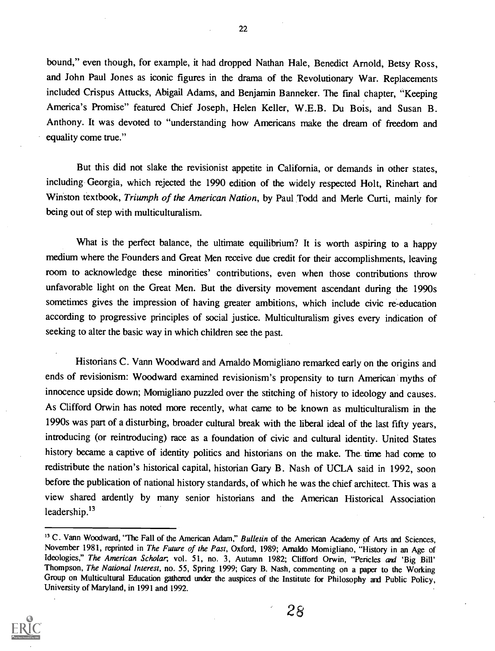bound," even though, for example, it had dropped Nathan Hale, Benedict Arnold, Betsy Ross, and John Paul Jones as iconic figures in the drama of the Revolutionary War. Replacements included Crispus Attucks, Abigail Adams, and Benjamin Banneker. The final chapter, "Keeping America's Promise" featured Chief Joseph, Helen Keller, W.E.B. Du Bois, and Susan B. Anthony. It was devoted to "understanding how Americans make the dream of freedom and equality come true."

But this did not slake the revisionist appetite in California, or demands in other states, including. Georgia, which rejected the 1990 edition of the widely respected Holt, Rinehart and Winston textbook, Triumph of the American Nation, by Paul Todd and Merle Curti, mainly for being out of step with multiculturalism.

What is the perfect balance, the ultimate equilibrium? It is worth aspiring to a happy medium where the Founders and Great Men receive due credit for their accomplishments, leaving room to acknowledge these minorities' contributions, even when those contributions throw unfavorable light on the Great Men. But the diversity movement ascendant during the 1990s sometimes gives the impression of having greater ambitions, which include civic re-education according to progressive principles of social justice. Multiculturalism gives every indication of seeking to alter the basic way in which children see the past.

Historians C. Vann Woodward and Arnaldo Momigliano remarked early on the origins and ends of revisionism: Woodward examined revisionism's propensity to turn American myths of innocence upside down; Momigliano puzzled over the stitching of history to ideology and causes. As Clifford Orwin has noted more recently, what came to be known as multiculturalism in the 1990s was part of a disturbing, broader cultural break with the liberal ideal of the last fifty years, introducing (or reintroducing) race as a foundation of civic and cultural identity. United States history became a captive of identity politics and historians on the make. The time had come to redistribute the nation's historical capital, historian Gary B. Nash of UCLA said in 1992, soon before the publication of national history standards, of which he was the chief architect. This was a view shared ardently by many senior historians and the American Historical Association leadership. $^{13}$ 

<sup>&</sup>lt;sup>13</sup> C. Vann Woodward, "The Fall of the American Adam," Bulletin of the American Academy of Arts and Sciences, November 1981, reprinted in *The Future of the Past*, Oxford, 1989; Arnaldo Momigliano, "History in an Age of Ideologies," The American Scholar; vol. 51, no. 3, Autumn 1982; Clifford Orwin, "Pericles and 'Big Bill' Thompson, The National Interest, no. 55, Spring 1999; Gary B. Nash, commenting on a paper to the Working Group on Multicultural Education gathered under the auspices of the Institute for Philosophy and Public Policy, University of Maryland, in 1991 and 1992.



28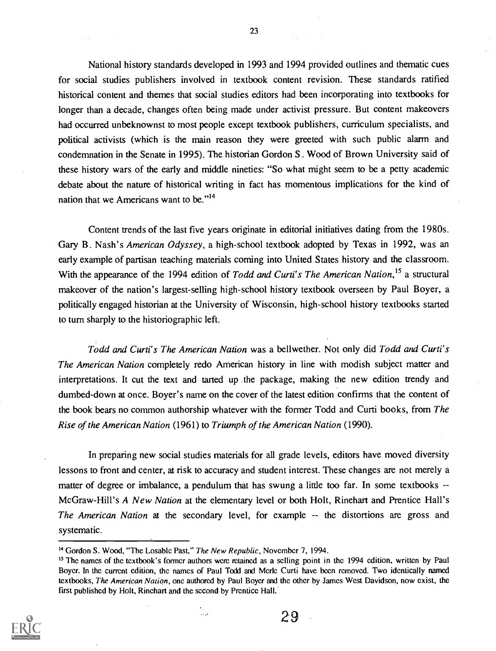National history standards developed in 1993 and 1994 provided outlines and thematic cues for social studies publishers involved in textbook content revision. These standards ratified historical content and themes that social studies editors had been incorporating into textbooks for longer than a decade, changes often being made under activist pressure. But content makeovers had occurred unbeknownst to most people except textbook publishers, curriculum specialists, and political activists (which is the main reason they were greeted with such public alarm and condemnation in the Senate in 1995). The historian Gordon S . Wood of Brown University said of these history wars of the early and middle nineties: "So what might seem to be a petty academic debate about the nature of historical writing in fact has momentous implications for the kind of nation that we Americans want to be."<sup>14</sup>

Content trends of the last five years originate in editorial initiatives dating from the 1980s. Gary B. Nash's American Odyssey, a high-school textbook adopted by Texas in 1992, was an early example of partisan teaching materials coming into United States history and the classroom. With the appearance of the 1994 edition of Todd and Curti's The American Nation,<sup>15</sup> a structural makeover of the nation's largest-selling high-school history textbook overseen by Paul Boyer, a politically engaged historian at the University of Wisconsin, high-school history textbooks started to turn sharply to the historiographic left.

Todd and Curti's The American Nation was a bellwether. Not only did Todd and Curti's The American Nation completely redo American history in line with modish subject matter and interpretations. It cut the text and tarted up the package, making the new edition trendy and dumbed-down at once. Boyer's name on the cover of the latest edition confirms that the content of the book bears no common authorship whatever with the former Todd and Curti books, from The Rise of the American Nation (1961) to Triumph of the American Nation (1990).

In preparing new social studies materials for all grade levels, editors have moved diversity lessons to front and center, at risk to accuracy and student interest. These changes are not merely a matter of degree or imbalance, a pendulum that has swung a little too far. In some textbooks --McGraw-Hill's A New Nation at the elementary level or both Holt, Rinehart and Prentice Hall's The American Nation at the secondary level, for example -- the distortions are gross and systematic.

ىق.

<sup>&</sup>lt;sup>15</sup> The names of the textbook's former authors were retained as a selling point in the 1994 edition, written by Paul Boyer. In the current edition, the names of Paul Todd and Merle Curti have been removed. Two identically named textbooks, The American Nation, one authored by Paul Boyer and the other by James West Davidson, now exist, the first published by Holt, Rinehart and the second by Prentice Hall.



29

<sup>&</sup>lt;sup>14</sup> Gordon S. Wood, "The Losable Past," The New Republic, November 7, 1994.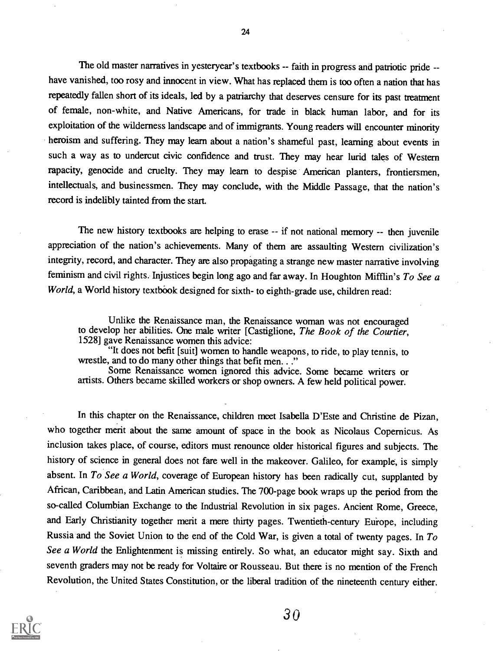The old master narratives in yesteryear's textbooks -- faith in progress and patriotic pride - have vanished, too rosy and innocent in view. What has replaced them is too often a nation that has repeatedly fallen short of its ideals, led by a patriarchy that deserves censure for its past treatment of female, non-white, and Native Americans, for trade in black human labor, and for its exploitation of the wilderness landscape and of immigrants. Young readers will encounter minority heroism and suffering. They may learn about a nation's shameful past, learning about events in such a way as to undercut civic confidence and trust. They may hear lurid tales of Western rapacity, genocide and cruelty. They may learn to despise American planters, frontiersmen, intellectuals, and businessmen. They may conclude, with the Middle Passage, that the nation's record is indelibly tainted from the start.

The new history textbooks are helping to erase -- if not national memory -- then juvenile appreciation of the nation's achievements. Many of them are assaulting Western civilization's integrity, record, and character. They are also propagating a strange new master narrative involving feminism and civil rights. Injustices begin long ago and far away. In Houghton Mifflin's To See  $a$ World, a World history textbook designed for sixth- to eighth-grade use, children read:

Unlike the Renaissance man, the Renaissance woman was not encouraged to develop her abilities. One male writer [Castiglione, The Book of the Courtier, 1528] gave Renaissance women this advice:

"It does not befit [suit] women to handle weapons, to ride, to play tennis, to wrestle, and to do many other things that befit men. . ."

Some Renaissance women ignored this advice. Some became writers or artists. Others became skilled workers or shop owners. A few held political power.

In this chapter on the Renaissance, children meet Isabella D'Este and Christine de Pizan, who together merit about the same amount of space in the book as Nicolaus Copernicus. As inclusion takes place, of course, editors must renounce older historical figures and subjects. The history of science in general does not fare well in the makeover. Galileo, for example, is simply absent. In To See a World, coverage of European history has been radically cut, supplanted by African, Caribbean, and Latin American studies. The 700-page book wraps up the period from the so-called Columbian Exchange to the Industrial Revolution in six pages. Ancient Rome, Greece, and Early Christianity together merit a mere thirty pages. Twentieth-century Europe, including Russia and the Soviet Union to the end of the Cold War, is given a total of twenty pages. In To See a World the Enlightenment is missing entirely. So what, an educator might say. Sixth and seventh graders may not be ready for Voltaire or Rousseau. But there is no mention of the French Revolution, the United States Constitution, or the liberal tradition of the nineteenth century either.



24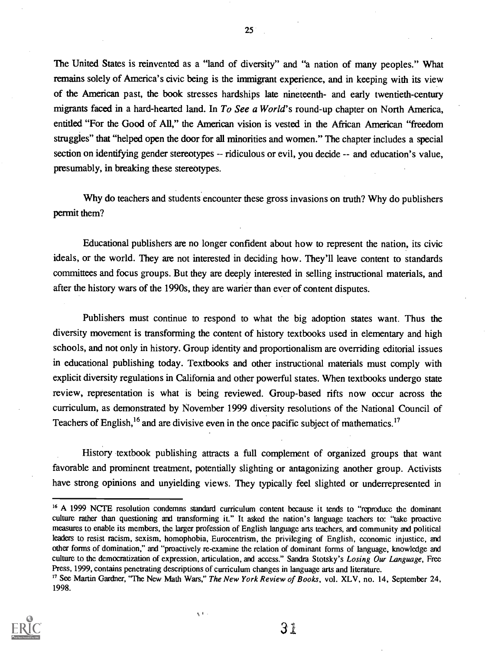The United States is reinvented as a "land of diversity" and "a nation of many peoples." What remains solely of America's civic being is the immigrant experience, and in keeping with its view of the American past, the book stresses hardships late nineteenth- and early twentieth-century migrants faced in a hard-hearted land. In To See a World's round-up chapter on North America, entitled "For the Good of All," the American vision is vested in the African American "freedom struggles" that "helped open the door for all minorities and women." The chapter includes a special section on identifying gender stereotypes -- ridiculous or evil, you decide -- and education's value, presumably, in breaking these stereotypes.

Why do teachers and students encounter these gross invasions on truth? Why do publishers permit them?

Educational publishers are no longer confident about how to represent the nation, its civic ideals, or the world. They are not interested in deciding how. They'll leave content to standards committees and focus groups. But they are deeply interested in selling instructional materials, and after the history wars of the 1990s, they are warier than ever of content disputes.

Publishers must continue to respond to what the big adoption states want. Thus the diversity movement is transforming the content of history textbooks used in elementary and high schools, and not only in history. Group identity and proportionalism are overriding editorial issues in educational publishing today. Textbooks and other instructional materials must comply with explicit diversity regulations in California and other powerful states. When textbooks undergo state review, representation is what is being reviewed. Group-based rifts now occur across the curriculum, as demonstrated by November 1999 diversity resolutions of the National Council of Teachers of English,<sup>16</sup> and are divisive even in the once pacific subject of mathematics.<sup>17</sup>

History textbook publishing attracts a full complement of organized groups that want favorable and prominent treatment, potentially slighting or antagonizing another group. Activists have strong opinions and unyielding views. They typically feel slighted or underrepresented in

 $\eta_1+\ldots$ 



25

<sup>&</sup>lt;sup>16</sup> A 1999 NCTE resolution condemns standard curriculum content because it tends to "reproduce the dominant culture rather than questioning and transforming it." It asked the nation's language teachers to: "take proactive measures to enable its members, the larger profession of English language arts teachers, and community and political leaders to resist racism, sexism, homophobia, Eurocentrism, the privileging of English, economic injustice, and other forms of domination," and "proactively re-examine the relation of dominant forms of language, knowledge and culture to the democratization of expression, articulation, and access." Sandra Stotsky's Losing Our Language, Free Press, 1999, contains penetrating descriptions of curriculum changes in language arts and literature.

<sup>&</sup>lt;sup>17</sup> See Martin Gardner, "The New Math Wars," The New York Review of Books, vol. XLV, no. 14, September 24, 1998.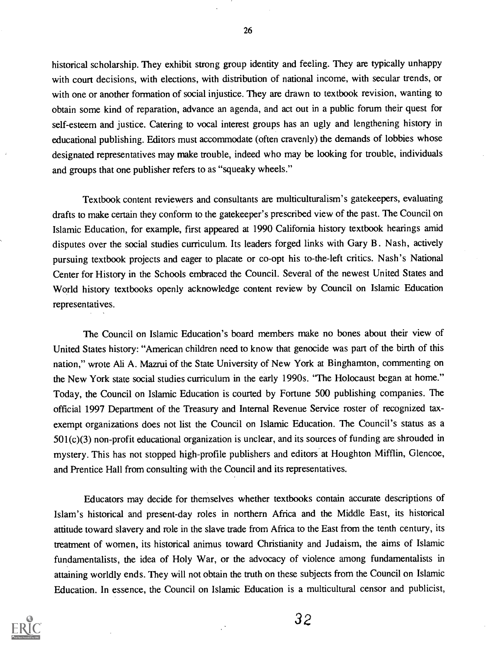historical scholarship. They exhibit strong group identity and feeling. They are typically unhappy with court decisions, with elections, with distribution of national income, with secular trends, or with one or another formation of social injustice. They are drawn to textbook revision, wanting to obtain some kind of reparation, advance an agenda, and act out in a public forum their quest for self-esteem and justice. Catering to vocal interest groups has an ugly and lengthening history in educational publishing. Editors must accommodate (often cravenly) the demands of lobbies whose designated representatives may make trouble, indeed who may be looking for trouble, individuals and groups that one publisher refers to as "squeaky wheels."

Textbook content reviewers and consultants are multiculturalism's gatekeepers, evaluating drafts to make certain they conform to the gatekeeper's prescribed view of the past. The Council on Islamic Education, for example, first appeared at 1990 California history textbook hearings amid disputes over the social studies curriculum. Its leaders forged links with Gary B. Nash, actively pursuing textbook projects and eager to placate or co-opt his to-the-left critics. Nash's National Center for History in the Schools embraced the Council. Several of the newest United States and World history textbooks openly acknowledge content review by Council on Islamic Education representatives.

The Council on Islamic Education's board members make no bones about their view of United States history: "American children need to know that genocide was part of the birth of this nation," wrote Ali A. Mazrui of the State University of New York at Binghamton, commenting on the New York state social studies curriculum in the early 1990s. "The Holocaust began at home." Today, the Council on Islamic Education is courted by Fortune 500 publishing companies. The official 1997 Department of the Treasury and Internal Revenue Service roster of recognized taxexempt organizations does not list the Council on Islamic Education. The Council's status as a 501(c)(3) non-profit educational organization is unclear, and its sources of funding are shrouded in mystery. This has not stopped high-profile publishers and editors at Houghton Mifflin, Glencoe, and Prentice Hall from consulting with the Council and its representatives.

Educators may decide for themselves whether textbooks contain accurate descriptions of Islam's historical and present-day roles in northern Africa and the Middle East, its historical attitude toward slavery and role in the slave trade from Africa to the East from the tenth century, its treatment of women, its historical animus toward Christianity and Judaism, the aims of Islamic fundamentalists, the idea of Holy War, or the advocacy of violence among fundamentalists in attaining worldly ends. They will not obtain the truth on these subjects from the Council on Islamic Education. In essence, the Council on Islamic Education is a multicultural censor and publicist,



26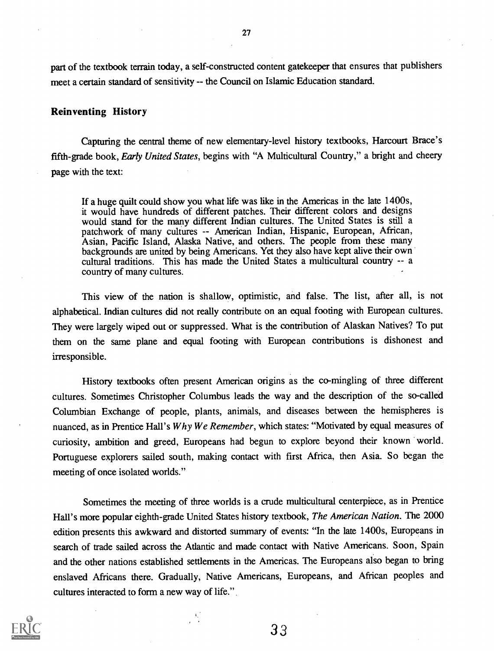part of the textbook terrain today, a self-constructed content gatekeeper that ensures that publishers meet a certain standard of sensitivity -- the Council on Islamic Education standard.

#### Reinventing History

Capturing the central theme of new elementary-level history textbooks, Harcourt Brace's fifth-grade book, Early United States, begins with "A Multicultural Country," a bright and cheery page with the text:

If a huge quilt could show you what life was like in the Americas in the late 1400s, it would have hundreds of different patches. Their different colors and designs would stand for the many different Indian cultures. The United States is still a patchwork of many cultures -- American Indian, Hispanic, European, African, Asian, Pacific Island, Alaska Native, and others. The people from these many backgrounds are united by being Americans. Yet they also have kept alive their own cultural traditions. This has made the United States a multicultural country -- a country of many cultures.

This view of the nation is shallow, optimistic, and false. The list, after all, is not alphabetical. Indian cultures did not really contribute on an equal footing with European cultures. They were largely wiped out or suppressed. What is the contribution of Alaskan Natives? To put them on the same plane and equal footing with European contributions is dishonest and irresponsible.

History textbooks often present American origins as the co-mingling of three different cultures. Sometimes Christopher Columbus leads the way and the description of the so-called Columbian Exchange of people, plants, animals, and diseases between the hemispheres is nuanced, as in Prentice Hall's Why We Remember, which states: "Motivated by equal measures of curiosity, ambition and greed, Europeans had begun to explore beyond their known world. Portuguese explorers sailed south, making contact with first Africa, then Asia. So began the meeting of once isolated worlds."

Sometimes the meeting of three worlds is a crude multicultural centerpiece, as in Prentice Hall's more popular eighth-grade United States history textbook, The American Nation. The 2000 edition presents this awkward and distorted summary of events: "In the late 1400s, Europeans in search of trade sailed across the Atlantic and made contact with Native Americans. Soon, Spain and the other nations established settlements in the Americas. The Europeans also began to bring enslaved Africans there. Gradually, Native Americans, Europeans, and African peoples and cultures interacted to form a new way of life."



27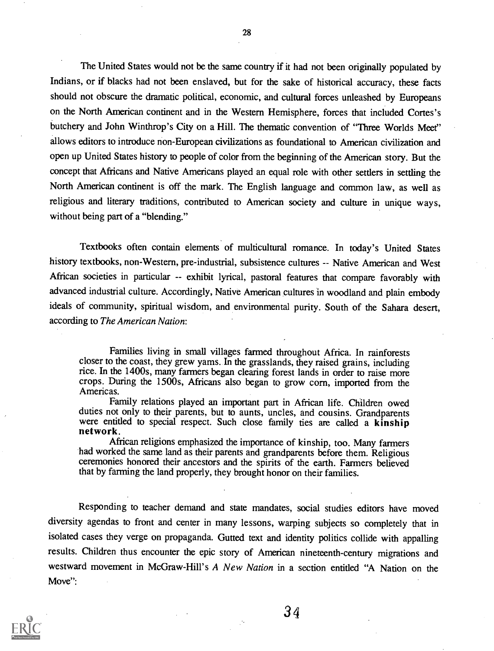The United States would not be the same country if it had not been originally populated by Indians, or if blacks had not been enslaved, but for the sake of historical accuracy, these facts should not obscure the dramatic political, economic, and cultural forces unleashed by Europeans on the North American continent and in the Western Hemisphere, forces that included Cortes's butchery and John Winthrop's City on a Hill. The thematic convention of "Three Worlds Meet" allows editors to introduce non-European civilizations as foundational to American civilization and open up United States history to people of color from the beginning of the American story. But the concept that Africans and Native Americans played an equal role with other settlers in settling the North American continent is off the mark. The English language and common law, as well as religious and literary traditions, contributed to American society and culture in unique ways, without being part of a "blending."

Textbooks often contain elements of multicultural romance. In today's United States history textbooks, non-Western, pre-industrial, subsistence cultures -- Native American and West African societies in particular -- exhibit lyrical, pastoral features that compare favorably with advanced industrial culture. Accordingly, Native American cultures in woodland and plain embody ideals of community, spiritual wisdom, and environmental purity. South of the Sahara desert, according to The American Nation:

Families living in small villages farmed throughout Africa. In rainforests closer to the coast, they grew yams. In the grasslands, they raised grains, including rice. In the 1400s, many farmers began clearing forest lands in order to raise more crops. During the 1500s, Africans also began to grow corn, imported from the Americas.

Family relations played an important part in African life. Children owed duties not only to their parents, but to aunts, uncles, and cousins. Grandparents were entitled to special respect. Such close family ties are called a kinship network.

African religions emphasized the importance of kinship, too. Many farmers had worked the same land as their parents and grandparents before them. Religious ceremonies honored their ancestors and the spirits of the earth. Farmers believed that by farming the land properly, they brought honor on their families.

Responding to teacher demand and state mandates, social studies editors have moved diversity agendas to front and center in many lessons, warping subjects so completely that in isolated cases they verge on propaganda. Gutted text and identity politics collide with appalling results. Children thus encounter the epic story of American nineteenth-century migrations and westward movement in McGraw-Hill's A New Nation in a section entitled "A Nation on the Move":



28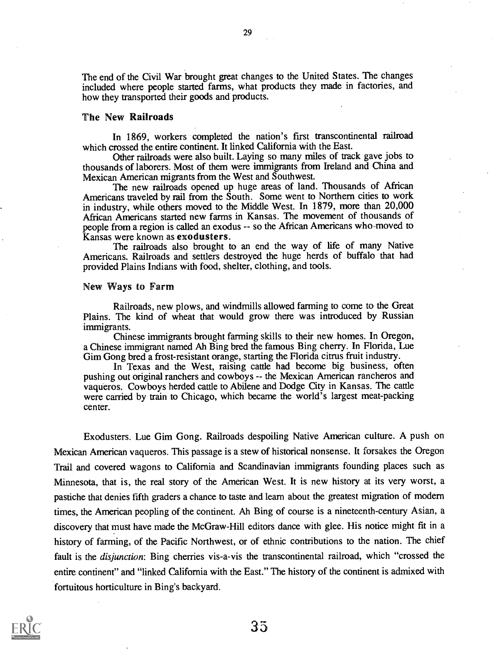The end of the Civil War brought great changes to the United States. The changes included where people started farms, what products they made in factories, and how they transported their goods and products.

#### The New Railroads

In 1869, workers completed the nation's first transcontinental railroad which crossed the entire continent. It linked California with the East.

Other railroads were also built. Laying so many miles of track gave jobs to thousands of laborers. Most of them were immigrants from Ireland and China and Mexican American migrants from the West and Southwest.

The new railroads opened up huge areas of land. Thousands of African Americans traveled by rail from the South. Some went to Northern cities to work in industry, while others moved to the Middle West. In 1879, more than 20,000 African Americans started new farms in Kansas. The movement of thousands of people from a region is called an exodus -- so the African Americans who-moved to Kansas were known as exodusters.

The railroads also brought to an end the way of life of many Native Americans. Railroads and settlers destroyed the huge herds of buffalo that had provided Plains Indians with food, shelter, clothing, and tools.

#### New Ways to Farm

Railroads, new plows, and windmills allowed farming to come to the Great Plains. The kind of wheat that would grow there was introduced by Russian immigrants.

Chinese immigrants brought farming skills to their new homes. In Oregon, a Chinese immigrant named Ah Bing bred the famous Bing cherry. In Florida, Lue Gim Gong bred a frost-resistant orange, starting the Florida citrus fruit industry.

In Texas and the West, raising cattle had become big business, often pushing out original ranchers and cowboys -- the Mexican American rancheros and vaqueros. Cowboys herded cattle to Abilene and Dodge City in Kansas. The cattle were carried by train to Chicago, which became the world's largest meat-packing center.

Exodusters. Lue Gim Gong. Railroads despoiling Native American culture. A push on Mexican American vaqueros. This passage is a stew of historical nonsense. It forsakes the Oregon Trail and covered wagons to California and Scandinavian immigrants founding places such as Minnesota, that is, the real story of the American West. It is new history at its very worst, a pastiche that denies fifth graders a chance to taste and learn about the greatest migration of modem times, the American peopling of the continent. Ah Bing of course is a nineteenth-century Asian, a discovery that must have made the McGraw-Hill editors dance with glee. His notice might fit in a history of farming, of the Pacific Northwest, or of ethnic contributions to the nation. The chief fault is the *disjunction*: Bing cherries vis-a-vis the transcontinental railroad, which "crossed the entire continent" and "linked California with the East." The history of the continent is admixed with fortuitous horticulture in Bing's backyard.

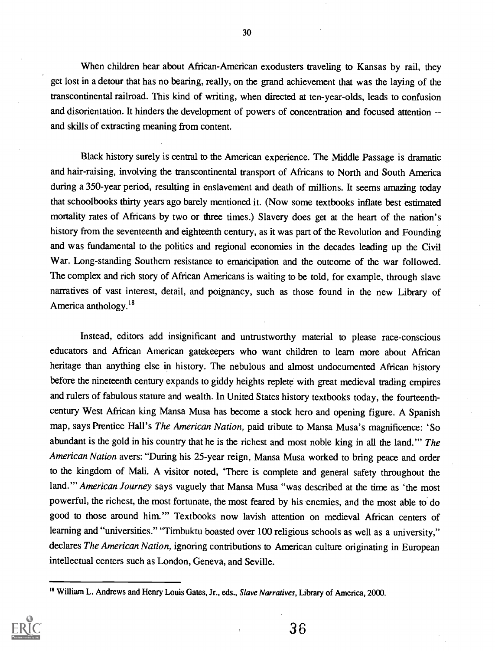When children hear about African-American exodusters traveling to Kansas by rail, they get lost in a detour that has no bearing, really, on the grand achievement that was the laying of the transcontinental railroad. This kind of writing, when directed at ten-year-olds, leads to confusion and disorientation. It hinders the development of powers of concentration and focused attention - and skills of extracting meaning from content.

Black history surely is central to the American experience. The Middle Passage is dramatic and hair-raising, involving the transcontinental transport of Africans to North and South America during a 350-year period, resulting in enslavement and death of millions. It seems amazing today that schoolbooks thirty years ago barely mentioned it. (Now some textbooks inflate best estimated mortality rates of Africans by two or three times.) Slavery does get at the heart of the nation's history from the seventeenth and eighteenth century, as it was part of the Revolution and Founding and was fundamental to the politics and regional economies in the decades leading up the Civil War. Long-standing Southern resistance to emancipation and the outcome of the war followed. The complex and rich story of African Americans is waiting to be told, for example, through slave narratives of vast interest, detail, and poignancy, such as those found in the new Library of America anthology. $18$ 

Instead, editors add insignificant and untrustworthy material to please race-conscious educators and African American gatekeepers who want children to learn more about African heritage than anything else in history. The nebulous and almost undocumented African history before the nineteenth century expands to giddy heights replete with great medieval trading empires and rulers of fabulous stature and wealth. In United States history textbooks today, the fourteenthcentury West African king Mansa Musa has become a stock hero and opening figure. A Spanish map, says Prentice Hall's The American Nation, paid tribute to Mansa Musa's magnificence: 'So abundant is the gold in his country that he is the richest and most noble king in all the land." The American Nation avers: "During his 25-year reign, Mansa Musa worked to bring peace and order to the kingdom of Mali. A visitor noted, 'There is complete and general safety throughout the land." American Journey says vaguely that Mansa Musa "was described at the time as 'the most powerful, the richest, the most fortunate, the most feared by his enemies, and the most able to do good to those around him."" Textbooks now lavish attention on medieval African centers of learning and "universities." "Timbuktu boasted over 100 religious schools as well as a university," declares The American Nation, ignoring contributions to American culture originating in European intellectual centers such as London, Geneva, and Seville.

<sup>&</sup>lt;sup>18</sup> William L. Andrews and Henry Louis Gates, Jr., eds., Slave Narratives, Library of America, 2000.



30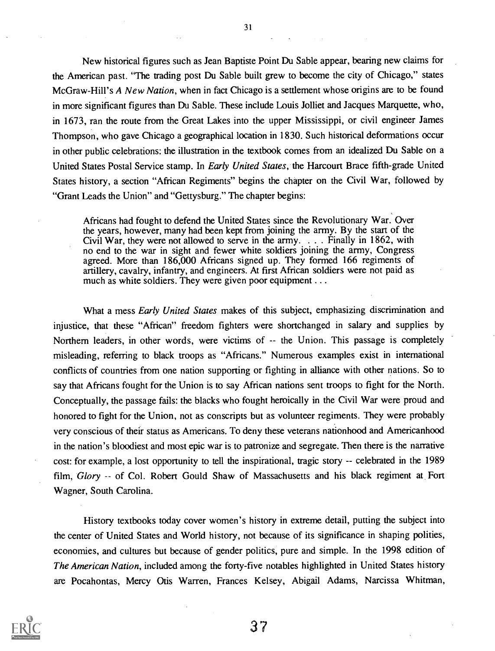New historical figures such as Jean Baptiste Point Du Sable appear, bearing new claims for the American past. "The trading post Du Sable built grew to become the city of Chicago," states McGraw-Hill's A New Nation, when in fact Chicago is a settlement whose origins are to be found in more significant figures than Du Sable. These include Louis Jolliet and Jacques Marquette, who, in 1673, ran the route from the Great Lakes into the upper Mississippi, or civil engineer James Thompson, who gave Chicago a geographical location in 1830. Such historical deformations occur in other public celebrations: the illustration in the textbook comes from an idealized Du Sable on a United States Postal Service stamp. In Early United States, the Harcourt Brace fifth-grade United States history, a section "African Regiments" begins the chapter on the Civil War, followed by "Grant Leads the Union" and "Gettysburg." The chapter begins:

Africans had fought to defend the United States since the Revolutionary War. Over the years, however, many had been kept from joining the army. By the start of the Civil War, they were not allowed to serve in the army. . . . Finally in 1862, with no end to the war in sight and fewer white soldiers joining the army, Congress agreed. More than 186,000 Africans signed up. They formed 166 regiments of artillery, cavalry, infantry, and engineers. At first African soldiers were not paid as much as white soldiers. They were given poor equipment ...

What a mess Early United States makes of this subject, emphasizing discrimination and injustice, that these "African" freedom fighters were shortchanged in salary and supplies by Northern leaders, in other words, were victims of -- the Union. This passage is completely misleading, referring to black troops as "Africans." Numerous examples exist in international conflicts of countries from one nation supporting or fighting in alliance with other nations. So to say that Africans fought for the Union is to say African nations sent troops to fight for the North. Conceptually, the passage fails: the blacks who fought heroically in the Civil War were proud and honored to fight for the Union, not as conscripts but as volunteer regiments. They were probably very conscious of their status as Americans. To deny these veterans nationhood and Americanhood in the nation's bloodiest and most epic war is to patronize and segregate. Then there is the narrative cost: for example, a lost opportunity to tell the inspirational, tragic story -- celebrated in the 1989 film, Glory -- of Col. Robert Gould Shaw of Massachusetts and his black regiment at Fort Wagner, South Carolina.

History textbooks today cover women's history in extreme detail, putting the subject into the center of United States and World history, not because of its significance in shaping polities, economies, and cultures but because of gender politics, pure and simple. In the 1998 edition of The American Nation, included among the forty-five notables highlighted in United States history are Pocahontas, Mercy Otis Warren, Frances Kelsey, Abigail Adams, Narcissa Whitman,



31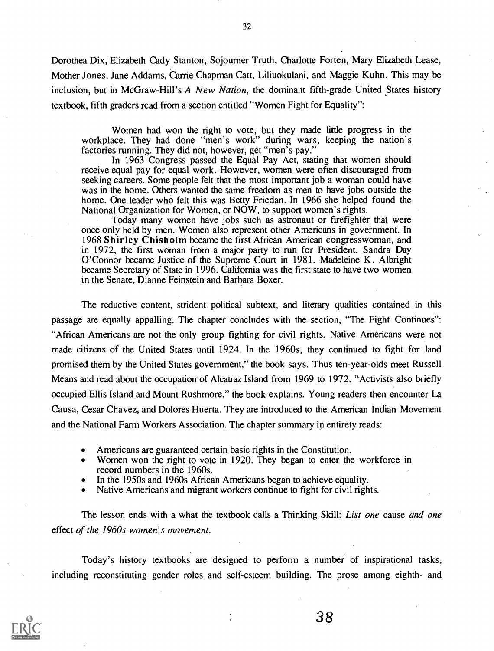Dorothea Dix, Elizabeth Cady Stanton, Sojourner Truth, Charlotte Forten, Mary Elizabeth Lease, Mother Jones, Jane Addams, Carrie Chapman Catt, Liliuokulani, and Maggie Kuhn. This may be inclusion, but in McGraw-Hill's A New Nation, the dominant fifth-grade United States history textbook, fifth graders read from a section entitled "Women Fight for Equality":

Women had won the right to vote, but they made little progress in the workplace. They had done "men's work" during wars, keeping the nation's factories running. They did not, however, get "men's pay."

In 1963 Congress passed the Equal Pay Act, stating that women should receive equal pay for equal work. However, women were often discouraged from seeking careers. Some people felt that the most important job a woman could have was in the home. Others wanted the same freedom as men to have jobs outside the home. One leader who felt this was Betty Friedan. In 1966 she helped found the National Organization for Women, or NOW, to support women's rights.

Today many women have jobs such as astronaut or firefighter that were once only held by men. Women also represent other Americans in government. In 1968 Shirley Chisholm became the first African American congresswoman, and in 1972, the first woman from a major party to run for President. Sandra Day O'Connor became Justice of the Supreme Court in 1981. Madeleine K. Albright became Secretary of State in 1996. California was the first state to have two women in the Senate, Dianne Feinstein and Barbara Boxer.

The reductive content, strident political subtext, and literary qualities contained in this passage are equally appalling. The chapter concludes with the section, "The Fight Continues": "African Americans are not the only group fighting for civil rights. Native Americans were not made citizens of the United States until 1924. In the 1960s, they continued to fight for land promised them by the United States government," the book says. Thus ten-year-olds meet Russell Means and read about the occupation of Alcatraz Island from 1969 to 1972. "Activists also briefly occupied Ellis Island and Mount Rushmore," the book explains. Young readers then encounter La Causa, Cesar Chavez, and Dolores Huerta. They are introduced to the American Indian Movement and the National Farm Workers Association. The chapter summary in entirety reads:

- Americans are guaranteed certain basic rights in the Constitution.
- Women won the right to vote in 1920. They began to enter the workforce in record numbers in the 1960s.
- In the 1950s and 1960s African Americans began to achieve equality.
- Native Americans and migrant workers continue to fight for civil rights.

The lesson ends with a what the textbook calls a Thinking Skill: *List one* cause and one effect of the 1960s women's movement.

Today's history textbooks are designed to perform a number of inspirational tasks, including reconstituting gender roles and self-esteem building. The prose among eighth- and



32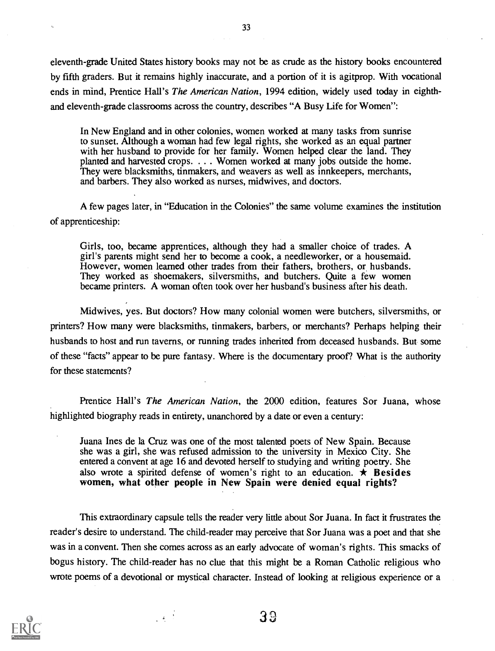eleventh-grade United States history books may not be as crude as the history books encountered by fifth graders. But it remains highly inaccurate, and a portion of it is agitprop. With vocational ends in mind, Prentice Hall's *The American Nation*, 1994 edition, widely used today in eighthand eleventh-grade classrooms across the country, describes "A Busy Life for Women":

In New England and in other colonies, women worked at many tasks from sunrise to sunset. Although a woman had few legal rights, she worked as an equal partner with her husband to provide for her family. Women helped clear the land. They planted and harvested crops. . . . Women worked at many jobs outside the home. They were blacksmiths, tinmakers, and weavers as well as innkeepers, merchants, and barbers. They also worked as nurses, midwives, and doctors.

A few pages later, in "Education in the Colonies" the same volume examines the institution of apprenticeship:

Girls, too, became apprentices, although they had a smaller choice of trades. A girl's parents might send her to become a cook, a needleworker, or a housemaid. However, women learned other trades from their fathers, brothers, or husbands. They worked as shoemakers, silversmiths, and butchers. Quite a few women became printers. A woman often took over her husband's business after his death.

Midwives, yes. But doctors? How many colonial women were butchers, silversmiths, or printers? How many were blacksmiths, tinmakers, barbers, or merchants? Perhaps helping their husbands to host and run taverns, or running trades inherited from deceased husbands. But some of these "facts" appear to be pure fantasy. Where is the documentary proof? What is the authority for these statements?

Prentice Hall's The American Nation, the 2000 edition, features Sor Juana, whose highlighted biography reads in entirety, unanchored by a date or even a century:

Juana Ines de la Cruz was one of the most talented poets of New Spain. Because she was a girl, she was refused admission to the university in Mexico City. She entered a convent at age 16 and devoted herself to studying and writing poetry. She also wrote a spirited defense of women's right to an education.  $\star$  Besides women, what other people in New Spain were denied equal rights?

This extraordinary capsule tells the reader very little about Sor Juana. In fact it frustrates the reader's desire to understand. The child-reader may perceive that Sor Juana was a poet and that she was in a convent. Then she comes across as an early advocate of woman's rights. This smacks of bogus history. The child-reader has no clue that this might be a Roman Catholic religious who wrote poems of a devotional or mystical character. Instead of looking at religious experience or a

 $\sim 4\%$ 

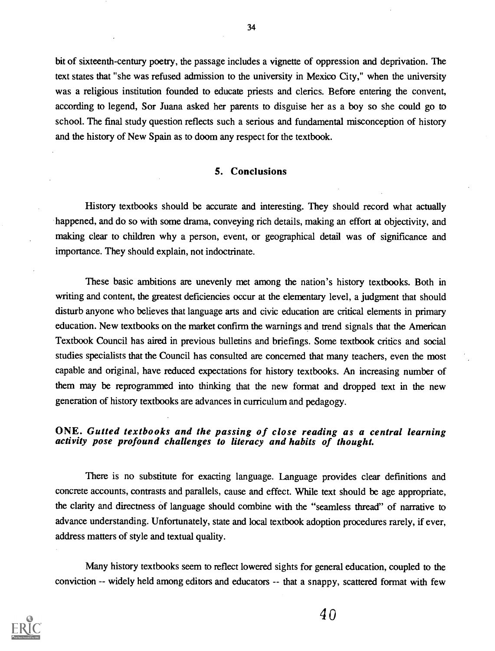bit of sixteenth-century poetry, the passage includes a vignette of oppression and deprivation. The text states that "she was refused admission to the university in Mexico City," when the university was a religious institution founded to educate priests and clerics. Before entering the convent, according to legend, Sor Juana asked her parents to disguise her as a boy so she could go to school. The final study question reflects such a serious and fundamental misconception of history and the history of New Spain as to doom any respect for the textbook.

#### 5. Conclusions

History textbooks should be accurate and interesting. They should record what actually happened, and do so with some drama, conveying rich details, making an effort at objectivity, and making clear to children why a person, event, or geographical detail was of significance and importance. They should explain, not indoctrinate.

These basic ambitions are unevenly met among the nation's history textbooks. Both in writing and content, the greatest deficiencies occur at the elementary level, a judgment that should disturb anyone who believes that language arts and civic education are critical elements in primary education. New textbooks on the market confirm the warnings and trend signals that the American Textbook Council has aired in previous bulletins and briefings. Some textbook critics and social studies specialists that the Council has consulted are concerned that many teachers, even the most capable and original, have reduced expectations for history textbooks. An increasing number of them may be reprogrammed into thinking that the new format and dropped text in the new generation of history textbooks are advances in curriculum and pedagogy.

#### ONE. Gutted textbooks and the passing of close reading as a central learning activity pose profound challenges to literacy and habits of thought.

There is no substitute for exacting language. Language provides clear definitions and concrete accounts, contrasts and parallels, cause and effect. While text should be age appropriate, the clarity and directness of language should combine with the "seamless thread" of narrative to advance understanding. Unfortunately, state and local textbook adoption procedures rarely, if ever, address matters of style and textual quality.

Many history textbooks seem to reflect lowered sights for general education, coupled to the conviction -- widely held among editors and educators -- that a snappy, scattered format with few

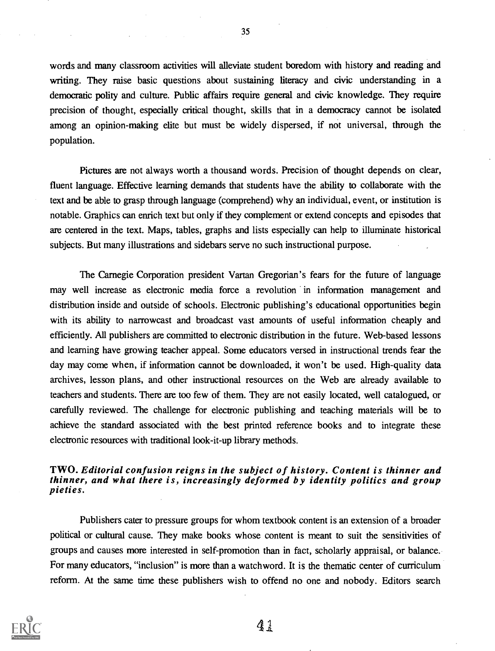words and many classroom activities will alleviate student boredom with history and reading and writing. They raise basic questions about sustaining literacy and civic understanding in a democratic polity and culture. Public affairs require general and civic knowledge. They require precision of thought, especially critical thought, skills that in a democracy cannot be isolated among an opinion-making elite but must be widely dispersed, if not universal, through the population.

Pictures are not always worth a thousand words. Precision of thought depends on clear, fluent language. Effective learning demands that students have the ability to collaborate with the text and be able to grasp through language (comprehend) why an individual, event, or institution is notable. Graphics can enrich text but only if they complement or extend concepts and episodes that are centered in the text. Maps, tables, graphs and lists especially can help to illuminate historical subjects. But many illustrations and sidebars serve no such instructional purpose.

The Carnegie Corporation president Vartan Gregorian's fears for the future of language may well increase as electronic media force a revolution in information management and distribution inside and outside of schools. Electronic publishing's educational opportunities begin with its ability to narrowcast and broadcast vast amounts of useful information cheaply and efficiently. All publishers are committed to electronic distribution in the future. Web-based lessons and learning have growing teacher appeal. Some educators versed in instructional trends fear the day may come when, if information cannot be downloaded, it won't be used. High-quality data archives, lesson plans, and other instructional resources on the Web are already available to teachers and students. There are too few of them. They are not easily located, well catalogued, or carefully reviewed. The challenge for electronic publishing and teaching materials will be to achieve the standard associated with the best printed reference books and to integrate these electronic resources with traditional look-it-up library methods.

#### TWO. Editorial confusion reigns in the subject of history. Content is thinner and thinner, and what there is, increasingly deformed by identity politics and group pieties.

Publishers cater to pressure groups for whom textbook content is an extension of a broader political or cultural cause. They make books whose content is meant to suit the sensitivities of groups and causes more interested in self-promotion than in fact, scholarly appraisal, or balance. For many educators, "inclusion" is more than a watchword. It is the thematic center of curriculum reform. At the same time these publishers wish to offend no one and nobody. Editors search

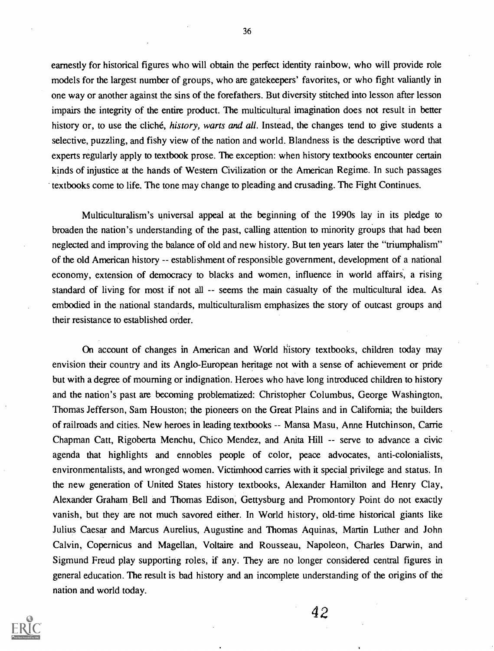earnestly for historical figures who will obtain the perfect identity rainbow, who will provide role models for the largest number of groups, who are gatekeepers' favorites, or who fight valiantly in one way or another against the sins of the forefathers. But diversity stitched into lesson after lesson impairs the integrity of the entire product. The multicultural imagination does not result in better history or, to use the cliché, *history, warts and all*. Instead, the changes tend to give students a selective, puzzling, and fishy view of the nation and world. Blandness is the descriptive word that experts regularly apply to textbook prose. The exception: when history textbooks encounter certain kinds of injustice at the hands of Western Civilization or the American Regime. In such passages textbooks come to life. The tone may change to pleading and crusading. The Fight Continues.

Multiculturalism's universal appeal at the beginning of the 1990s lay in its pledge to broaden the nation's understanding of the past, calling attention to minority groups that had been neglected and improving the balance of old and new history. But ten years later the "triumphalism" of the old American history -- establishment of responsible government, development of a national economy, extension of democracy to blacks and women, influence in world affairs, a rising standard of living for most if not all -- seems the main casualty of the multicultural idea. As embodied in the national standards, multiculturalism emphasizes the story of outcast groups and their resistance to established order.

On account of changes in American and World history textbooks, children today may envision their country and its Anglo-European heritage not with a sense of achievement or pride but with a degree of mourning or indignation. Heroes who have long introduced children to history and the nation's past are becoming problematized: Christopher Columbus, George Washington, Thomas Jefferson, Sam Houston; the pioneers on the Great Plains and in California; the builders of railroads and cities. New heroes in leading textbooks -- Mansa Masu, Anne Hutchinson, Carrie Chapman Catt, Rigoberta Menchu, Chico Mendez, and Anita Hill -- serve to advance a civic agenda that highlights and ennobles people of color, peace advocates, anti-colonialists, environmentalists, and wronged women. Victimhood carries with it special privilege and status. In the new generation of United States history textbooks, Alexander Hamilton and Henry Clay, Alexander Graham Bell and Thomas Edison, Gettysburg and Promontory Point do not exactly vanish, but they are not much savored either. In World history, old-time historical giants like Julius Caesar and Marcus Aurelius, Augustine and Thomas Aquinas, Martin Luther and John Calvin, Copernicus and Magellan, Voltaire and Rousseau, Napoleon, Charles Darwin, and Sigmund Freud play supporting roles, if any. They are no longer considered central figures in general education. The result is bad history and an incomplete understanding of the origins of the nation and world today.



36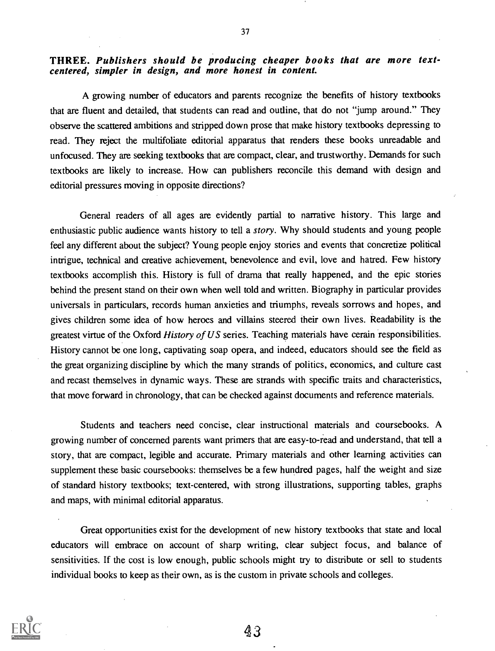# THREE. Publishers should be producing cheaper books that are more text-<br>centered, simpler in design, and more honest in content.

A growing number of educators and parents recognize the benefits of history textbooks that are fluent and detailed, that students can read and outline, that do not "jump around." They observe the scattered ambitions and stripped down prose that make history textbooks depressing to read. They reject the multifoliate editorial apparatus that renders these books unreadable and unfocused. They are seeking textbooks that are compact, clear, and trustworthy. Demands for such textbooks are likely to increase. How can publishers reconcile this demand with design and editorial pressures moving in opposite directions?

General readers of all ages are evidently partial to narrative history. This large and enthusiastic public audience wants history to tell a story. Why should students and young people feel any different about the subject? Young people enjoy stories and events that concretize political intrigue, technical and creative achievement, benevolence and evil, love and hatred. Few history textbooks accomplish this. History is full of drama that really happened, and the epic stories behind the present stand on their own when well told and written. Biography in particular provides universals in particulars, records human anxieties and triumphs, reveals sorrows and hopes, and gives children some idea of how heroes and villains steered their own lives. Readability is the greatest virtue of the Oxford History of US series. Teaching materials have cerain responsibilities. History cannot be one long, captivating soap opera, and indeed, educators should see the field as the great organizing discipline by which the many strands of politics, economics, and culture cast and recast themselves in dynamic ways. These are strands with specific traits and characteristics, that move forward in chronology, that can be checked against documents and reference materials.

Students and teachers need concise, clear instructional materials and coursebooks. A growing number of concerned parents want primers that are easy-to-read and understand, that tell a story, that are compact, legible and accurate. Primary materials and other learning activities can supplement these basic coursebooks: themselves be a few hundred pages, half the weight and size of standard history textbooks; text-centered, with strong illustrations, supporting tables, graphs and maps, with minimal editorial apparatus.

Great opportunities exist for the development of new history textbooks that state and local educators will embrace on account of sharp writing, clear subject focus, and balance of sensitivities. If the cost is low enough, public schools might try to distribute or sell to students individual books to keep as their own, as is the custom in private schools and colleges.

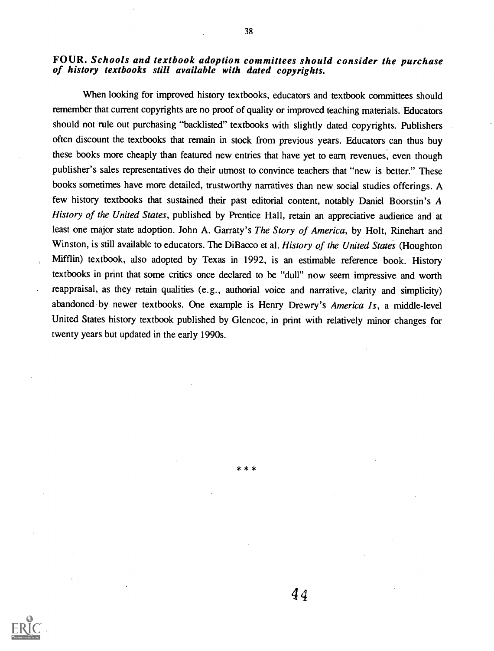# FOUR. Schools and textbook adoption committees should consider the purchase of history textbooks still available with dated copyrights.

When looking for improved history textbooks, educators and textbook committees should remember that current copyrights are no proof of quality or improved teaching materials. Educators should not rule out purchasing "backlisted" textbooks with slightly dated copyrights. Publishers often discount the textbooks that remain in stock from previous years. Educators can thus buy these books more cheaply than featured new entries that have yet to earn revenues, even though publisher's sales representatives do their utmost to convince teachers that "new is better." These books sometimes have more detailed, trustworthy narratives than new social studies offerings. A few history textbooks that sustained their past editorial content, notably Daniel Boorstin's A History of the United States, published by Prentice Hall, retain an appreciative audience and at least one major state adoption. John A. Garraty's The Story of America, by Holt, Rinehart and Winston, is still available to educators. The DiBacco et al. History of the United States (Houghton Mifflin) textbook, also adopted by Texas in 1992, is an estimable reference book. History textbooks in print that some critics once declared to be "dull" now seem impressive and worth reappraisal, as they retain qualities (e.g., authorial voice and narrative, clarity and simplicity) abandoned by newer textbooks. One example is Henry Drewry's America Is, a middle-level United States history textbook published by Glencoe, in print with relatively minor changes for twenty years but updated in the early 1990s.

\*\* \*

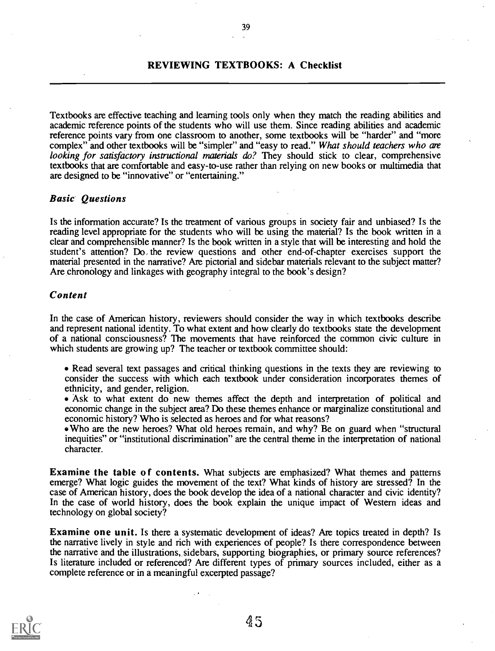#### REVIEWING TEXTBOOKS: A Checklist

Textbooks are effective teaching and learning tools only when they match the reading abilities and academic reference points of the students who will use them. Since reading abilities and academic reference points vary from one classroom to another, some textbooks will be "harder" and "more complex" and other textbooks will be "simpler" and "easy to read." What should teachers who are looking for satisfactory instructional materials do? They should stick to clear, comprehensive textbooks that are comfortable and easy-to-use rather than relying on new books or multimedia that are designed to be "innovative" or "entertaining."

#### Basic Questions

Is the information accurate? Is the treatment of various groups in society fair and unbiased? Is the reading level appropriate for the students who will be using the material? Is the book written in a clear and comprehensible manner? Is the book written in a style that will be interesting and hold the student's attention? Do, the review questions and other end-of-chapter exercises support the material presented in the narrative? Are pictorial and sidebar materials relevant to the subject matter? Are chronology and linkages with geography integral to the book's design?

#### Content

In the case of American history, reviewers should consider the way in which textbooks describe and represent national identity. To what extent and how clearly do textbooks state the development of a national consciousness? The movements that have reinforced the common civic culture in which students are growing up? The teacher or textbook committee should:

- Read several text passages and critical thinking questions in the texts they are reviewing to consider the success with which each textbook under consideration incorporates themes of ethnicity, and gender, religion.
- Ask to what extent do new themes affect the depth and interpretation of political and economic change in the subject area? Do these themes enhance or marginalize constitutional and economic history? Who is selected as heroes and for what reasons?
- Who are the new heroes? What old heroes remain, and why? Be on guard when "structural inequities" or "institutional discrimination" are the central theme in the interpretation of national character.

Examine the table of contents. What subjects are emphasized? What themes and patterns emerge? What logic guides the movement of the text? What kinds of history are stressed? In the case of American history, does the book develop the idea of a national character and civic identity? In the case of world history, does the book explain the unique impact of Western ideas and technology on global society?

Examine one unit. Is there a systematic development of ideas? Are topics treated in depth? Is the narrative lively in style and rich with experiences of people? Is there correspondence between the narrative and the illustrations, sidebars, supporting biographies, or primary source references? Is literature included or referenced? Are different types of primary sources included, either as a complete reference or in a meaningful excerpted passage?

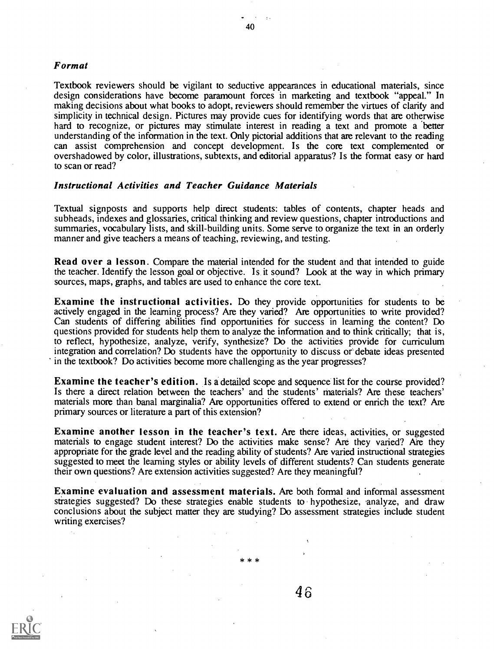#### Format

Textbook reviewers should be vigilant to seductive appearances in educational materials, since design considerations have become paramount forces in marketing and textbook "appeal." In making decisions about what books to adopt, reviewers should remember the virtues of clarity and simplicity in technical design. Pictures may provide cues for identifying words that are otherwise hard to recognize, or pictures may stimulate interest in reading a text and promote a better understanding of the information in the text. Only pictorial additions that are relevant to the reading can assist comprehension and concept development. Is the core text complemented or overshadowed by color, illustrations, subtexts, and editorial apparatus? Is the format easy or hard to scan or read?

#### Instructional Activities and Teacher Guidance Materials

Textual signposts and supports help direct students: tables of contents, chapter heads and subheads, indexes and glossaries, critical thinking and review questions, chapter introductions and summaries, vocabulary lists, and skill-building units. Some serve to organize the text in an orderly manner and give teachers a means of teaching, reviewing, and testing.

Read over a lesson. Compare the material intended for the student and that intended to guide the teacher. Identify the lesson goal or objective. Is it sound? Look at the way in which primary sources, maps, graphs, and tables are used to enhance the core text.

Examine the instructional activities. Do they provide opportunities for students to be actively engaged in the learning process? Are they varied? Are opportunities to write provided? Can students of differing abilities find opportunities for success in learning the content? Do questions provided for students help them to analyze the information and to think critically; that is, to reflect, hypothesize, analyze, verify, synthesize? Do the activities provide for curriculum integration and correlation? Do students have the opportunity to discuss or debate ideas presented in the textbook? Do activities become more challenging as the year progresses?

Examine the teacher's edition. Is a detailed scope and sequence list for the course provided? Is there a direct relation between the teachers' and the students' materials? Are these teachers' materials more than banal marginalia? Are opportunities offered to extend or enrich the text? Are primary sources or literature a part of this extension?

Examine another lesson in the teacher's text. Are there ideas, activities, or suggested materials to engage student interest? Do the activities make sense? Are they varied? Are they appropriate for the grade level and the reading ability of students? Are varied instructional strategies suggested to meet the learning styles or ability levels of different students? Can students generate their own questions? Are extension activities suggested? Are they meaningful?

Examine evaluation and assessment materials. Are both formal and informal assessment strategies suggested? Do these strategies enable students to hypothesize, 'analyze, and draw conclusions about the subject matter they are studying? Do assessment strategies include student writing exercises?

\* \* \*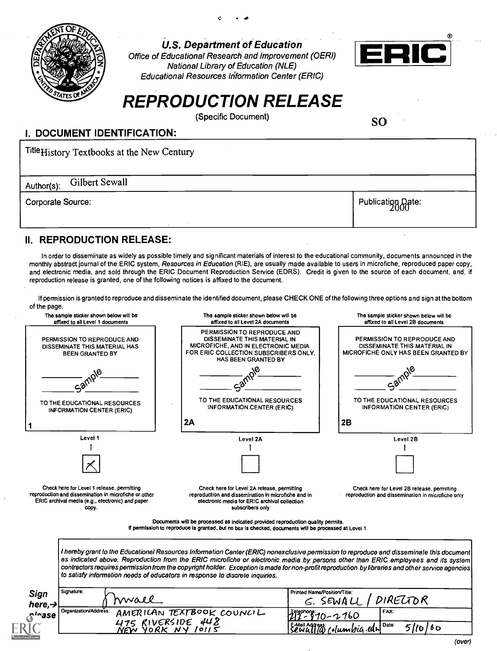

U.S. Department of Education

Office of Educational Research and Improvement (OERI) National Library of Education (NLE) Educational Resources Information Center (ERIC)



## REPRODUCTION RELEASE

(Specific Document)

SO

#### I. DOCUMENT IDENTIFICATION:

| Title <sub>History</sub> Textbooks at the New Century |                   |  |  |
|-------------------------------------------------------|-------------------|--|--|
| Gilbert Sewall<br>Author(s):                          |                   |  |  |
| Corporate Source:                                     | Publication Date: |  |  |

### **II. REPRODUCTION RELEASE:**

In order to disseminate as widely as possible timely and significant materials of interest to the educational community, documents announced in the monthly abstract journal of the ERIC system, Resources in Education (RIE), are usually made available to users in microfiche, reproduced paper copy, and electronic media, and sold through the ERIC Document Reproduction Service (EDRS). Credit is given to the source of each document, and, if reproduction release is granted, one of the following notices is affixed to the document.

If permission is granted to reproduce and disseminate the identified document, please CHECK ONE of the following three options and sign at the bottom of the page.

| or the page.                                                                                                                                                     |                                                                                                                                                                                                                                                                                                                                                                                                                                                                                                                   |                                                                                                    |
|------------------------------------------------------------------------------------------------------------------------------------------------------------------|-------------------------------------------------------------------------------------------------------------------------------------------------------------------------------------------------------------------------------------------------------------------------------------------------------------------------------------------------------------------------------------------------------------------------------------------------------------------------------------------------------------------|----------------------------------------------------------------------------------------------------|
| The sample sticker shown below will be<br>affixed to all Level 1 documents                                                                                       | The sample sticker shown below will be<br>affixed to all Leve! 2A documents                                                                                                                                                                                                                                                                                                                                                                                                                                       | The sample sticker shown below will be<br>affixed to all Level 2B documents                        |
| PERMISSION TO REPRODUCE AND<br>DISSEMINATE THIS MATERIAL HAS<br><b>BEEN GRANTED BY</b>                                                                           | PERMISSION TO REPRODUCE AND<br>DISSEMINATE THIS MATERIAL IN<br>MICROFICHE, AND IN ELECTRONIC MEDIA<br>FOR ERIC COLLECTION SUBSCRIBERS ONLY.<br>HAS BEEN GRANTED BY                                                                                                                                                                                                                                                                                                                                                | PERMISSION TO REPRODUCE AND<br>DISSEMINATE THIS MATERIAL IN<br>MICROFICHE ONLY HAS BEEN GRANTED BY |
| Sarnpi                                                                                                                                                           |                                                                                                                                                                                                                                                                                                                                                                                                                                                                                                                   |                                                                                                    |
| TO THE EDUCATIONAL RESOURCES<br><b>INFORMATION CENTER (ERIC)</b>                                                                                                 | TO THE EDUCATIONAL RESOURCES<br><b>INFORMATION CENTER (ERIC)</b>                                                                                                                                                                                                                                                                                                                                                                                                                                                  | TO THE EDUCATIONAL RESOURCES<br><b>INFORMATION CENTER (ERIC)</b>                                   |
|                                                                                                                                                                  | 2A                                                                                                                                                                                                                                                                                                                                                                                                                                                                                                                | 2B                                                                                                 |
| Level 1                                                                                                                                                          | Level 2A                                                                                                                                                                                                                                                                                                                                                                                                                                                                                                          | Level 2B                                                                                           |
|                                                                                                                                                                  |                                                                                                                                                                                                                                                                                                                                                                                                                                                                                                                   |                                                                                                    |
| Check here for Level 1 release, permitting<br>reproduction and dissemination in microfiche or other<br>ERIC archival media (e.g., electronic) and paper<br>copy. | Check here for Level 2A release, permitting<br>reproduction and dissemination in microfiche and in<br>electronic media for ERIC archival collection<br>subscribers only                                                                                                                                                                                                                                                                                                                                           | Check here for Level 2B release, permitting<br>reproduction and dissemination in microfiche only   |
|                                                                                                                                                                  | Documents will be processed as indicated provided reproduction quality permits.<br>If permission to reproduce is granted, but no box is checked, documents will be processed at Level 1.                                                                                                                                                                                                                                                                                                                          |                                                                                                    |
|                                                                                                                                                                  | I hereby grant to the Educational Resources Information Center (ERIC) nonexclusive permission to reproduce and disseminate this document<br>as indicated above. Reproduction from the ERIC microfiche or electronic media by persons other than ERIC employees and its system<br>contractors requires permission from the copyright holder. Exception is made for non-profit reproduction by libraries and other service agencies<br>to satisfy information needs of educators in response to discrete inquiries. |                                                                                                    |
|                                                                                                                                                                  |                                                                                                                                                                                                                                                                                                                                                                                                                                                                                                                   |                                                                                                    |
| Signature:<br><b>Sign</b>                                                                                                                                        | Printed Name/Position/Title:                                                                                                                                                                                                                                                                                                                                                                                                                                                                                      |                                                                                                    |
| rwall<br>here, $\rightarrow$<br>Organization/Address:<br>n <sup>lease</sup>                                                                                      | AMERICAN TEXTBOOK COUNCIL<br><u>relephone</u><br>212 - 810 - 2 <u>160</u><br>475 RIVERSIDE 448<br>NEW YORK NY 10115                                                                                                                                                                                                                                                                                                                                                                                               | DIRELTOR<br>G. SEWALL<br>FAX:                                                                      |